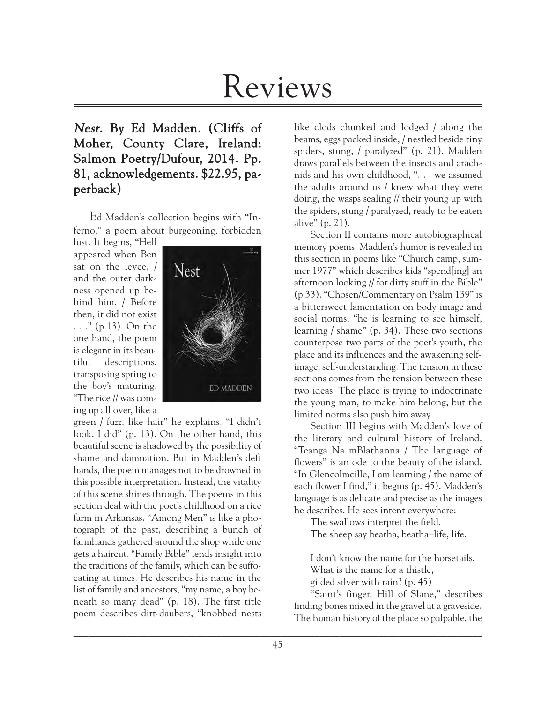# Reviews

# Nest. By Ed Madden. (Cliffs of Moher, County Clare, Ireland: Salmon Poetry/Dufour, 2014. Pp. 81, acknowledgements. \$22.95, paperback)

Ed Madden's collection begins with "Inferno," a poem about burgeoning, forbidden

lust. It begins, "Hell appeared when Ben sat on the levee, / and the outer darkness opened up behind him. / Before then, it did not exist . . ." (p.13). On the one hand, the poem is elegant in its beautiful descriptions, transposing spring to the boy's maturing. "The rice // was coming up all over, like a



green / fuzz, like hair" he explains. "I didn't look. I did" (p. 13). On the other hand, this beautiful scene is shadowed by the possibility of shame and damnation. But in Madden's deft hands, the poem manages not to be drowned in this possible interpretation. Instead, the vitality of this scene shines through. The poems in this section deal with the poet's childhood on a rice farm in Arkansas. "Among Men" is like a photograph of the past, describing a bunch of farmhands gathered around the shop while one gets a haircut. "Family Bible" lends insight into the traditions of the family, which can be suffocating at times. He describes his name in the list of family and ancestors, "my name, a boy beneath so many dead" (p. 18). The first title poem describes dirt-daubers, "knobbed nests

like clods chunked and lodged / along the beams, eggs packed inside, / nestled beside tiny spiders, stung, / paralyzed" (p. 21). Madden draws parallels between the insects and arachnids and his own childhood, ". . . we assumed the adults around us / knew what they were doing, the wasps sealing // their young up with the spiders, stung / paralyzed, ready to be eaten alive" (p. 21).

Section II contains more autobiographical memory poems. Madden's humor is revealed in this section in poems like "Church camp, summer 1977" which describes kids "spend[ing] an afternoon looking // for dirty stuff in the Bible" (p.33). "Chosen/Commentary on Psalm 139" is a bittersweet lamentation on body image and social norms, "he is learning to see himself, learning / shame" (p. 34). These two sections counterpose two parts of the poet's youth, the place and its influences and the awakening selfimage, self-understanding. The tension in these sections comes from the tension between these two ideas. The place is trying to indoctrinate the young man, to make him belong, but the limited norms also push him away.

Section III begins with Madden's love of the literary and cultural history of Ireland. "Teanga Na mBlathanna / The language of flowers" is an ode to the beauty of the island. "In Glencolmcille, I am learning / the name of each flower I find," it begins (p. 45). Madden's language is as delicate and precise as the images he describes. He sees intent everywhere:

The swallows interpret the field.

The sheep say beatha, beatha–life, life.

I don't know the name for the horsetails. What is the name for a thistle, gilded silver with rain? (p. 45)

"Saint's finger, Hill of Slane," describes finding bones mixed in the gravel at a graveside. The human history of the place so palpable, the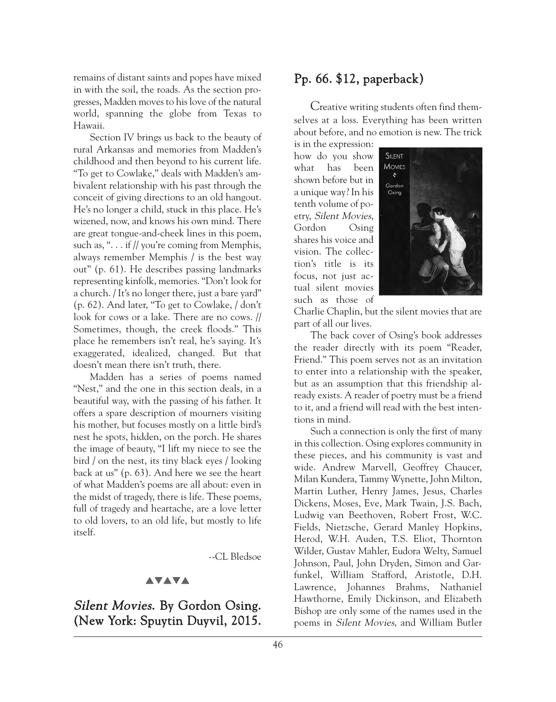remains of distant saints and popes have mixed in with the soil, the roads. As the section progresses, Madden moves to his love of the natural world, spanning the globe from Texas to Hawaii.

Section IV brings us back to the beauty of rural Arkansas and memories from Madden's childhood and then beyond to his current life. "To get to Cowlake," deals with Madden's ambivalent relationship with his past through the conceit of giving directions to an old hangout. He's no longer a child, stuck in this place. He's wizened, now, and knows his own mind. There are great tongue-and-cheek lines in this poem, such as, "... if // you're coming from Memphis, always remember Memphis / is the best way out" (p. 61). He describes passing landmarks representing kinfolk, memories. "Don't look for a church. / It's no longer there, just a bare yard" (p. 62). And later, "To get to Cowlake, / don't look for cows or a lake. There are no cows. // Sometimes, though, the creek floods." This place he remembers isn't real, he's saying. It's exaggerated, idealized, changed. But that doesn't mean there isn't truth, there.

Madden has a series of poems named "Nest," and the one in this section deals, in a beautiful way, with the passing of his father. It offers a spare description of mourners visiting his mother, but focuses mostly on a little bird's nest he spots, hidden, on the porch. He shares the image of beauty, "I lift my niece to see the bird / on the nest, its tiny black eyes / looking back at us" (p. 63). And here we see the heart of what Madden's poems are all about: even in the midst of tragedy, there is life. These poems, full of tragedy and heartache, are a love letter to old lovers, to an old life, but mostly to life itself.

--CL Bledsoe

#### **AVAVA**

Silent Movies. By Gordon Osing. (New York: Spuytin Duyvil, 2015. Bishop at only some of the handes used in the

## Pp. 66. \$12, paperback)

Creative writing students often find themselves at a loss. Everything has been written about before, and no emotion is new. The trick

is in the expression: how do you show what has been shown before but in a unique way? In his tenth volume of poetry, Silent Movies, Gordon Osing shares his voice and vision. The collection's title is its focus, not just actual silent movies such as those of



Charlie Chaplin, but the silent movies that are part of all our lives.

The back cover of Osing's book addresses the reader directly with its poem "Reader, Friend." This poem serves not as an invitation to enter into a relationship with the speaker, but as an assumption that this friendship already exists. A reader of poetry must be a friend to it, and a friend will read with the best intentions in mind.

Such a connection is only the first of many in this collection. Osing explores community in these pieces, and his community is vast and wide. Andrew Marvell, Geoffrey Chaucer, Milan Kundera, Tammy Wynette, John Milton, Martin Luther, Henry James, Jesus, Charles Dickens, Moses, Eve, Mark Twain, J.S. Bach, Ludwig van Beethoven, Robert Frost, W.C. Fields, Nietzsche, Gerard Manley Hopkins, Herod, W.H. Auden, T.S. Eliot, Thornton Wilder, Gustav Mahler, Eudora Welty, Samuel Johnson, Paul, John Dryden, Simon and Garfunkel, William Stafford, Aristotle, D.H. Lawrence, Johannes Brahms, Nathaniel Hawthorne, Emily Dickinson, and Elizabeth Bishop are only some of the names used in the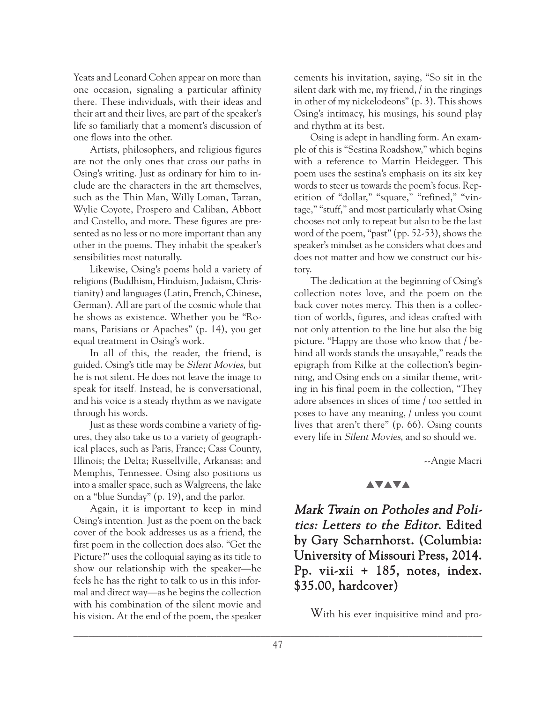Yeats and Leonard Cohen appear on more than one occasion, signaling a particular affinity there. These individuals, with their ideas and their art and their lives, are part of the speaker's life so familiarly that a moment's discussion of one flows into the other.

Artists, philosophers, and religious figures are not the only ones that cross our paths in Osing's writing. Just as ordinary for him to include are the characters in the art themselves, such as the Thin Man, Willy Loman, Tarzan, Wylie Coyote, Prospero and Caliban, Abbott and Costello, and more. These figures are presented as no less or no more important than any other in the poems. They inhabit the speaker's sensibilities most naturally.

Likewise, Osing's poems hold a variety of religions (Buddhism, Hinduism, Judaism, Christianity) and languages (Latin, French, Chinese, German). All are part of the cosmic whole that he shows as existence. Whether you be "Romans, Parisians or Apaches" (p. 14), you get equal treatment in Osing's work.

In all of this, the reader, the friend, is guided. Osing's title may be Silent Movies, but he is not silent. He does not leave the image to speak for itself. Instead, he is conversational, and his voice is a steady rhythm as we navigate through his words.

Just as these words combine a variety of figures, they also take us to a variety of geographical places, such as Paris, France; Cass County, Illinois; the Delta; Russellville, Arkansas; and Memphis, Tennessee. Osing also positions us into a smaller space, such as Walgreens, the lake on a "blue Sunday" (p. 19), and the parlor.

Again, it is important to keep in mind Osing's intention. Just as the poem on the back cover of the book addresses us as a friend, the first poem in the collection does also. "Get the Picture?" uses the colloquial saying as its title to show our relationship with the speaker—he feels he has the right to talk to us in this informal and direct way—as he begins the collection with his combination of the silent movie and his vision. At the end of the poem, the speaker

cements his invitation, saying, "So sit in the silent dark with me, my friend, / in the ringings in other of my nickelodeons" (p. 3). This shows Osing's intimacy, his musings, his sound play and rhythm at its best.

Osing is adept in handling form. An example of this is "Sestina Roadshow," which begins with a reference to Martin Heidegger. This poem uses the sestina's emphasis on its six key words to steer us towards the poem's focus. Repetition of "dollar," "square," "refined," "vintage," "stuff," and most particularly what Osing chooses not only to repeat but also to be the last word of the poem, "past" (pp. 52-53), shows the speaker's mindset as he considers what does and does not matter and how we construct our history.

The dedication at the beginning of Osing's collection notes love, and the poem on the back cover notes mercy. This then is a collection of worlds, figures, and ideas crafted with not only attention to the line but also the big picture. "Happy are those who know that / behind all words stands the unsayable," reads the epigraph from Rilke at the collection's beginning, and Osing ends on a similar theme, writing in his final poem in the collection, "They adore absences in slices of time / too settled in poses to have any meaning, / unless you count lives that aren't there" (p. 66). Osing counts every life in Silent Movies, and so should we.

--Angie Macri

#### **AVAVA**

Mark Twain on Potholes and Politics: Letters to the Editor. Edited by Gary Scharnhorst. (Columbia: University of Missouri Press, 2014. Pp. vii-xii + 185, notes, index. \$35.00, hardcover)

With his ever inquisitive mind and pro-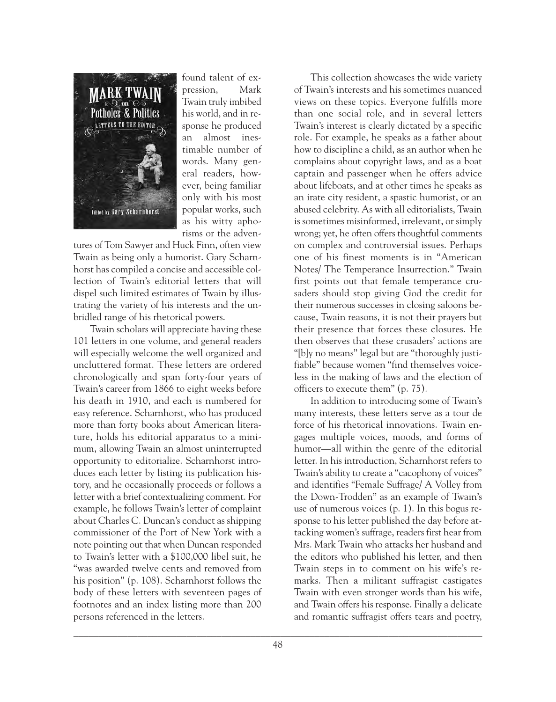

found talent of expression, Mark Twain truly imbibed his world, and in response he produced an almost inestimable number of words. Many general readers, however, being familiar only with his most popular works, such as his witty aphorisms or the adven-

tures of Tom Sawyer and Huck Finn, often view Twain as being only a humorist. Gary Scharnhorst has compiled a concise and accessible collection of Twain's editorial letters that will dispel such limited estimates of Twain by illustrating the variety of his interests and the unbridled range of his rhetorical powers.

Twain scholars will appreciate having these 101 letters in one volume, and general readers will especially welcome the well organized and uncluttered format. These letters are ordered chronologically and span forty-four years of Twain's career from 1866 to eight weeks before his death in 1910, and each is numbered for easy reference. Scharnhorst, who has produced more than forty books about American literature, holds his editorial apparatus to a minimum, allowing Twain an almost uninterrupted opportunity to editorialize. Scharnhorst introduces each letter by listing its publication history, and he occasionally proceeds or follows a letter with a brief contextualizing comment. For example, he follows Twain's letter of complaint about Charles C. Duncan's conduct as shipping commissioner of the Port of New York with a note pointing out that when Duncan responded to Twain's letter with a \$100,000 libel suit, he "was awarded twelve cents and removed from his position" (p. 108). Scharnhorst follows the body of these letters with seventeen pages of footnotes and an index listing more than 200 persons referenced in the letters.

This collection showcases the wide variety of Twain's interests and his sometimes nuanced views on these topics. Everyone fulfills more than one social role, and in several letters Twain's interest is clearly dictated by a specific role. For example, he speaks as a father about how to discipline a child, as an author when he complains about copyright laws, and as a boat captain and passenger when he offers advice about lifeboats, and at other times he speaks as an irate city resident, a spastic humorist, or an abused celebrity. As with all editorialists, Twain is sometimes misinformed, irrelevant, or simply wrong; yet, he often offers thoughtful comments on complex and controversial issues. Perhaps one of his finest moments is in "American Notes/ The Temperance Insurrection." Twain first points out that female temperance crusaders should stop giving God the credit for their numerous successes in closing saloons because, Twain reasons, it is not their prayers but their presence that forces these closures. He then observes that these crusaders' actions are "[b]y no means" legal but are "thoroughly justifiable" because women "find themselves voiceless in the making of laws and the election of officers to execute them" (p. 75).

In addition to introducing some of Twain's many interests, these letters serve as a tour de force of his rhetorical innovations. Twain engages multiple voices, moods, and forms of humor—all within the genre of the editorial letter. In his introduction, Scharnhorst refers to Twain's ability to create a "cacophony of voices" and identifies "Female Suffrage/ A Volley from the Down-Trodden" as an example of Twain's use of numerous voices (p. 1). In this bogus response to his letter published the day before attacking women's suffrage, readers first hear from Mrs. Mark Twain who attacks her husband and the editors who published his letter, and then Twain steps in to comment on his wife's remarks. Then a militant suffragist castigates Twain with even stronger words than his wife, and Twain offers his response. Finally a delicate and romantic suffragist offers tears and poetry,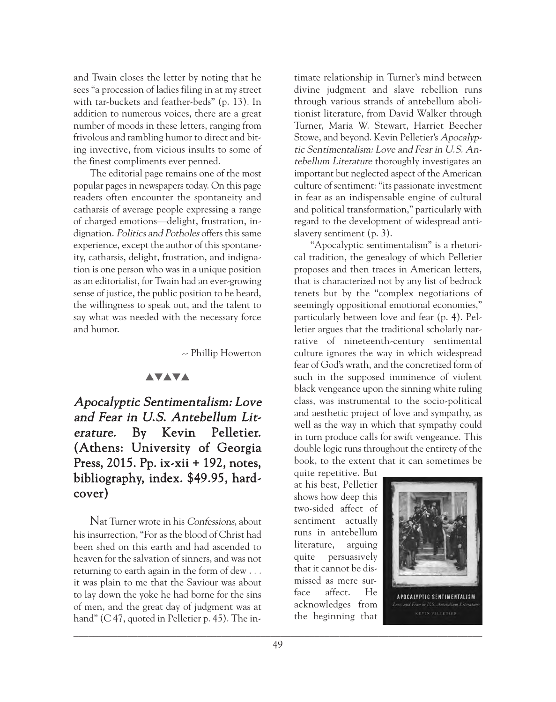and Twain closes the letter by noting that he sees "a procession of ladies filing in at my street with tar-buckets and feather-beds" (p. 13). In addition to numerous voices, there are a great number of moods in these letters, ranging from frivolous and rambling humor to direct and biting invective, from vicious insults to some of the finest compliments ever penned.

The editorial page remains one of the most popular pages in newspapers today. On this page readers often encounter the spontaneity and catharsis of average people expressing a range of charged emotions—delight, frustration, indignation. Politics and Potholes offers this same experience, except the author of this spontaneity, catharsis, delight, frustration, and indignation is one person who was in a unique position as an editorialist, for Twain had an ever-growing sense of justice, the public position to be heard, the willingness to speak out, and the talent to say what was needed with the necessary force and humor.

-- Phillip Howerton

### **AVAVA**

Apocalyptic Sentimentalism: Love and Fear in U.S. Antebellum Literature. By Kevin Pelletier. (Athens: University of Georgia Press, 2015. Pp. ix-xii + 192, notes, bibliography, index. \$49.95, hardcover)

Nat Turner wrote in his Confessions, about his insurrection, "For as the blood of Christ had been shed on this earth and had ascended to heaven for the salvation of sinners, and was not returning to earth again in the form of dew . . . it was plain to me that the Saviour was about to lay down the yoke he had borne for the sins of men, and the great day of judgment was at hand" (C 47, quoted in Pelletier p. 45). The intimate relationship in Turner's mind between divine judgment and slave rebellion runs through various strands of antebellum abolitionist literature, from David Walker through Turner, Maria W. Stewart, Harriet Beecher Stowe, and beyond. Kevin Pelletier's Apocalyptic Sentimentalism: Love and Fear in U.S. Antebellum Literature thoroughly investigates an important but neglected aspect of the American culture of sentiment: "its passionate investment in fear as an indispensable engine of cultural and political transformation," particularly with regard to the development of widespread antislavery sentiment (p. 3).

"Apocalyptic sentimentalism" is a rhetorical tradition, the genealogy of which Pelletier proposes and then traces in American letters, that is characterized not by any list of bedrock tenets but by the "complex negotiations of seemingly oppositional emotional economies," particularly between love and fear (p. 4). Pelletier argues that the traditional scholarly narrative of nineteenth-century sentimental culture ignores the way in which widespread fear of God's wrath, and the concretized form of such in the supposed imminence of violent black vengeance upon the sinning white ruling class, was instrumental to the socio-political and aesthetic project of love and sympathy, as well as the way in which that sympathy could in turn produce calls for swift vengeance. This double logic runs throughout the entirety of the book, to the extent that it can sometimes be

quite repetitive. But at his best, Pelletier shows how deep this two-sided affect of sentiment actually runs in antebellum literature, arguing quite persuasively that it cannot be dismissed as mere surface affect. He acknowledges from the beginning that

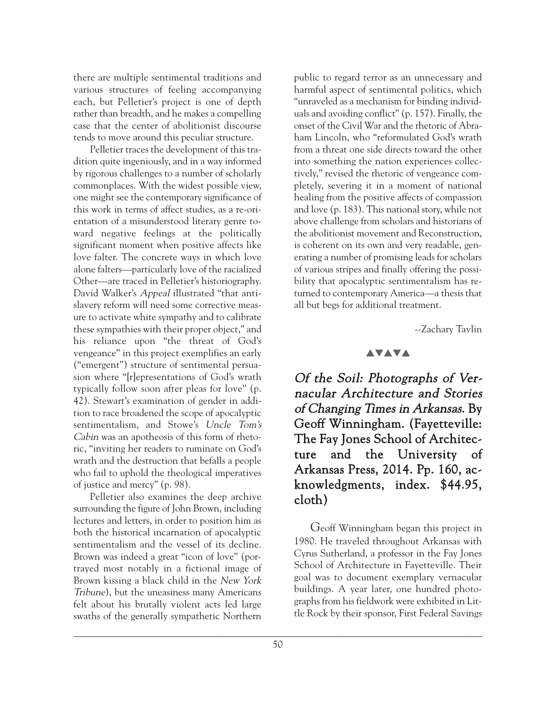there are multiple sentimental traditions and various structures of feeling accompanying each, but Pelletier's project is one of depth rather than breadth, and he makes a compelling case that the center of abolitionist discourse tends to move around this peculiar structure.

Pelletier traces the development of this tradition quite ingeniously, and in a way informed by rigorous challenges to a number of scholarly commonplaces. With the widest possible view, one might see the contemporary significance of this work in terms of affect studies, as a re-orientation of a misunderstood literary genre toward negative feelings at the politically significant moment when positive affects like love falter. The concrete ways in which love alone falters—particularly love of the racialized Other—are traced in Pelletier's historiography. David Walker's Appeal illustrated "that antislavery reform will need some corrective measure to activate white sympathy and to calibrate these sympathies with their proper object," and his reliance upon "the threat of God's vengeance" in this project exemplifies an early ("emergent") structure of sentimental persuasion where "[r]epresentations of God's wrath typically follow soon after pleas for love" (p. 42). Stewart's examination of gender in addition to race broadened the scope of apocalyptic sentimentalism, and Stowe's Uncle Tom's Cabin was an apotheosis of this form of rhetoric, "inviting her readers to ruminate on God's wrath and the destruction that befalls a people who fail to uphold the theological imperatives of justice and mercy" (p. 98).

Pelletier also examines the deep archive surrounding the figure of John Brown, including lectures and letters, in order to position him as both the historical incarnation of apocalyptic sentimentalism and the vessel of its decline. Brown was indeed a great "icon of love" (portrayed most notably in a fictional image of Brown kissing a black child in the New York Tribune), but the uneasiness many Americans felt about his brutally violent acts led large swaths of the generally sympathetic Northern

public to regard terror as an unnecessary and harmful aspect of sentimental politics, which "unraveled as a mechanism for binding individuals and avoiding conflict" (p. 157). Finally, the onset of the Civil War and the rhetoric of Abraham Lincoln, who "reformulated God's wrath from a threat one side directs toward the other into something the nation experiences collectively," revised the rhetoric of vengeance completely, severing it in a moment of national healing from the positive affects of compassion and love (p. 183). This national story, while not above challenge from scholars and historians of the abolitionist movement and Reconstruction, is coherent on its own and very readable, generating a number of promising leads for scholars of various stripes and finally offering the possibility that apocalyptic sentimentalism has returned to contemporary America—a thesis that all but begs for additional treatment.

--Zachary Tavlin

#### **AVAVA**

Of the Soil: Photographs of Vernacular Architecture and Stories of Changing Times in Arkansas. By Geoff Winningham. (Fayetteville: The Fay Jones School of Architecture and the University of Arkansas Press, 2014. Pp. 160, acknowledgments, index. \$44.95, cloth)

Geoff Winningham began this project in 1980. He traveled throughout Arkansas with Cyrus Sutherland, a professor in the Fay Jones School of Architecture in Fayetteville. Their goal was to document exemplary vernacular buildings. A year later, one hundred photographs from his fieldwork were exhibited in Little Rock by their sponsor, First Federal Savings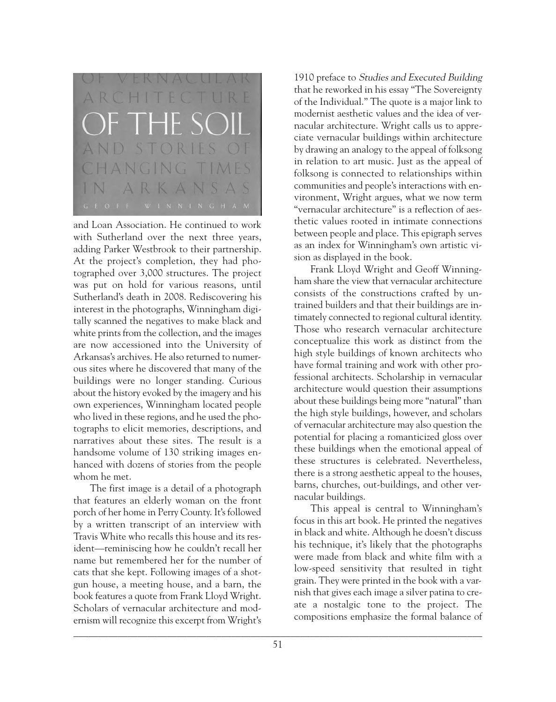

and Loan Association. He continued to work with Sutherland over the next three years, adding Parker Westbrook to their partnership. At the project's completion, they had photographed over 3,000 structures. The project was put on hold for various reasons, until Sutherland's death in 2008. Rediscovering his interest in the photographs, Winningham digitally scanned the negatives to make black and white prints from the collection, and the images are now accessioned into the University of Arkansas's archives. He also returned to numerous sites where he discovered that many of the buildings were no longer standing. Curious about the history evoked by the imagery and his own experiences, Winningham located people who lived in these regions, and he used the photographs to elicit memories, descriptions, and narratives about these sites. The result is a handsome volume of 130 striking images enhanced with dozens of stories from the people whom he met.

The first image is a detail of a photograph that features an elderly woman on the front porch of her home in Perry County. It's followed by a written transcript of an interview with Travis White who recalls this house and its resident—reminiscing how he couldn't recall her name but remembered her for the number of cats that she kept. Following images of a shotgun house, a meeting house, and a barn, the book features a quote from Frank Lloyd Wright. Scholars of vernacular architecture and modernism will recognize this excerpt from Wright's

1910 preface to Studies and Executed Building that he reworked in his essay "The Sovereignty of the Individual." The quote is a major link to modernist aesthetic values and the idea of vernacular architecture. Wright calls us to appreciate vernacular buildings within architecture by drawing an analogy to the appeal of folksong in relation to art music. Just as the appeal of folksong is connected to relationships within communities and people's interactions with environment, Wright argues, what we now term "vernacular architecture" is a reflection of aesthetic values rooted in intimate connections between people and place. This epigraph serves as an index for Winningham's own artistic vision as displayed in the book.

Frank Lloyd Wright and Geoff Winningham share the view that vernacular architecture consists of the constructions crafted by untrained builders and that their buildings are intimately connected to regional cultural identity. Those who research vernacular architecture conceptualize this work as distinct from the high style buildings of known architects who have formal training and work with other professional architects. Scholarship in vernacular architecture would question their assumptions about these buildings being more "natural" than the high style buildings, however, and scholars of vernacular architecture may also question the potential for placing a romanticized gloss over these buildings when the emotional appeal of these structures is celebrated. Nevertheless, there is a strong aesthetic appeal to the houses, barns, churches, out-buildings, and other vernacular buildings.

This appeal is central to Winningham's focus in this art book. He printed the negatives in black and white. Although he doesn't discuss his technique, it's likely that the photographs were made from black and white film with a low-speed sensitivity that resulted in tight grain. They were printed in the book with a varnish that gives each image a silver patina to create a nostalgic tone to the project. The compositions emphasize the formal balance of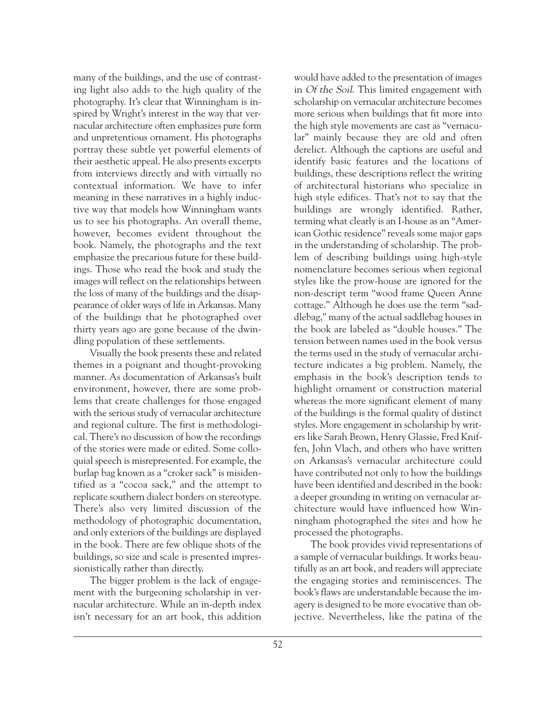many of the buildings, and the use of contrasting light also adds to the high quality of the photography. It's clear that Winningham is inspired by Wright's interest in the way that vernacular architecture often emphasizes pure form and unpretentious ornament. His photographs portray these subtle yet powerful elements of their aesthetic appeal. He also presents excerpts from interviews directly and with virtually no contextual information. We have to infer meaning in these narratives in a highly inductive way that models how Winningham wants us to see his photographs. An overall theme, however, becomes evident throughout the book. Namely, the photographs and the text emphasize the precarious future for these buildings. Those who read the book and study the images will reflect on the relationships between the loss of many of the buildings and the disappearance of older ways of life in Arkansas. Many of the buildings that he photographed over thirty years ago are gone because of the dwindling population of these settlements.

Visually the book presents these and related themes in a poignant and thought-provoking manner. As documentation of Arkansas's built environment, however, there are some problems that create challenges for those engaged with the serious study of vernacular architecture and regional culture. The first is methodological. There's no discussion of how the recordings of the stories were made or edited. Some colloquial speech is misrepresented. For example, the burlap bag known as a "croker sack" is misidentified as a "cocoa sack," and the attempt to replicate southern dialect borders on stereotype. There's also very limited discussion of the methodology of photographic documentation, and only exteriors of the buildings are displayed in the book. There are few oblique shots of the buildings, so size and scale is presented impressionistically rather than directly.

The bigger problem is the lack of engagement with the burgeoning scholarship in vernacular architecture. While an in-depth index isn't necessary for an art book, this addition

would have added to the presentation of images in Of the Soil. This limited engagement with scholarship on vernacular architecture becomes more serious when buildings that fit more into the high style movements are cast as "vernacular" mainly because they are old and often derelict. Although the captions are useful and identify basic features and the locations of buildings, these descriptions reflect the writing of architectural historians who specialize in high style edifices. That's not to say that the buildings are wrongly identified. Rather, terming what clearly is an I-house as an "American Gothic residence" reveals some major gaps in the understanding of scholarship. The problem of describing buildings using high-style nomenclature becomes serious when regional styles like the prow-house are ignored for the non-descript term "wood frame Queen Anne cottage." Although he does use the term "saddlebag," many of the actual saddlebag houses in the book are labeled as "double houses." The tension between names used in the book versus the terms used in the study of vernacular architecture indicates a big problem. Namely, the emphasis in the book's description tends to highlight ornament or construction material whereas the more significant element of many of the buildings is the formal quality of distinct styles. More engagement in scholarship by writers like Sarah Brown, Henry Glassie, Fred Kniffen, John Vlach, and others who have written on Arkansas's vernacular architecture could have contributed not only to how the buildings have been identified and described in the book: a deeper grounding in writing on vernacular architecture would have influenced how Winningham photographed the sites and how he processed the photographs.

The book provides vivid representations of a sample of vernacular buildings. It works beautifully as an art book, and readers will appreciate the engaging stories and reminiscences. The book's flaws are understandable because the imagery is designed to be more evocative than objective. Nevertheless, like the patina of the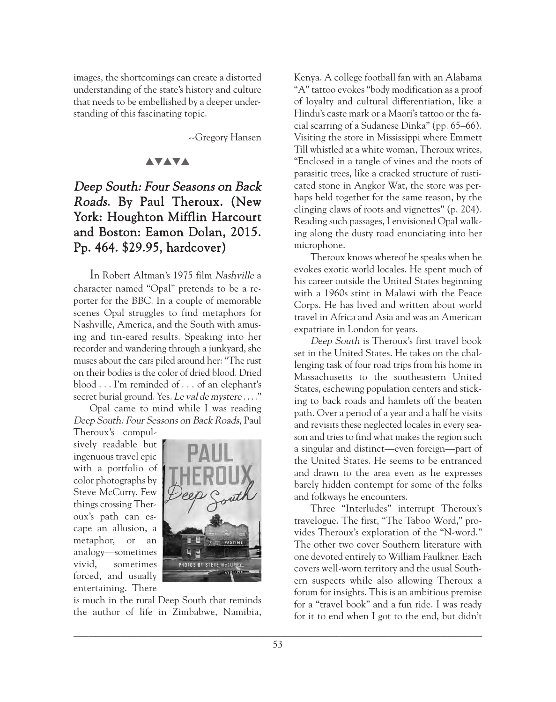images, the shortcomings can create a distorted understanding of the state's history and culture that needs to be embellished by a deeper understanding of this fascinating topic.

--Gregory Hansen

#### **AVAVA**

# Deep South: Four Seasons on Back Roads. By Paul Theroux. (New York: Houghton Mifflin Harcourt and Boston: Eamon Dolan, 2015. Pp. 464. \$29.95, hardcover)

In Robert Altman's 1975 film Nashville a character named "Opal" pretends to be a reporter for the BBC. In a couple of memorable scenes Opal struggles to find metaphors for Nashville, America, and the South with amusing and tin-eared results. Speaking into her recorder and wandering through a junkyard, she muses about the cars piled around her: "The rust on their bodies is the color of dried blood. Dried blood ... I'm reminded of . . . of an elephant's secret burial ground. Yes. Le val de mystere . . . ."

Opal came to mind while I was reading Deep South: Four Seasons on Back Roads, Paul

Theroux's compulsively readable but ingenuous travel epic with a portfolio of color photographs by Steve McCurry. Few things crossing Theroux's path can escape an allusion, a metaphor, or an analogy—sometimes vivid, sometimes forced, and usually entertaining. There



is much in the rural Deep South that reminds the author of life in Zimbabwe, Namibia,

Kenya. A college football fan with an Alabama "A" tattoo evokes "body modification as a proof of loyalty and cultural differentiation, like a Hindu's caste mark or a Maori's tattoo or the facial scarring of a Sudanese Dinka" (pp. 65–66). Visiting the store in Mississippi where Emmett Till whistled at a white woman, Theroux writes, "Enclosed in a tangle of vines and the roots of parasitic trees, like a cracked structure of rusticated stone in Angkor Wat, the store was perhaps held together for the same reason, by the clinging claws of roots and vignettes" (p. 204). Reading such passages, I envisioned Opal walking along the dusty road enunciating into her microphone.

Theroux knows whereof he speaks when he evokes exotic world locales. He spent much of his career outside the United States beginning with a 1960s stint in Malawi with the Peace Corps. He has lived and written about world travel in Africa and Asia and was an American expatriate in London for years.

Deep South is Theroux's first travel book set in the United States. He takes on the challenging task of four road trips from his home in Massachusetts to the southeastern United States, eschewing population centers and sticking to back roads and hamlets off the beaten path. Over a period of a year and a half he visits and revisits these neglected locales in every season and tries to find what makes the region such a singular and distinct—even foreign—part of the United States. He seems to be entranced and drawn to the area even as he expresses barely hidden contempt for some of the folks and folkways he encounters.

Three "Interludes" interrupt Theroux's travelogue. The first, "The Taboo Word," provides Theroux's exploration of the "N-word." The other two cover Southern literature with one devoted entirely to William Faulkner. Each covers well-worn territory and the usual Southern suspects while also allowing Theroux a forum for insights. This is an ambitious premise for a "travel book" and a fun ride. I was ready for it to end when I got to the end, but didn't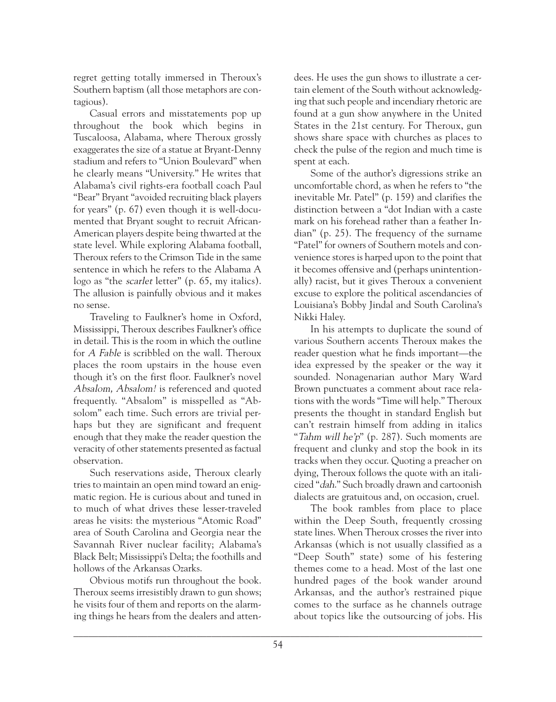regret getting totally immersed in Theroux's Southern baptism (all those metaphors are contagious).

Casual errors and misstatements pop up throughout the book which begins in Tuscaloosa, Alabama, where Theroux grossly exaggerates the size of a statue at Bryant-Denny stadium and refers to "Union Boulevard" when he clearly means "University." He writes that Alabama's civil rights-era football coach Paul "Bear" Bryant "avoided recruiting black players for years" (p. 67) even though it is well-documented that Bryant sought to recruit African-American players despite being thwarted at the state level. While exploring Alabama football, Theroux refers to the Crimson Tide in the same sentence in which he refers to the Alabama A logo as "the scarlet letter" (p. 65, my italics). The allusion is painfully obvious and it makes no sense.

Traveling to Faulkner's home in Oxford, Mississippi, Theroux describes Faulkner's office in detail. This is the room in which the outline for A Fable is scribbled on the wall. Theroux places the room upstairs in the house even though it's on the first floor. Faulkner's novel Absalom, Absalom! is referenced and quoted frequently. "Absalom" is misspelled as "Absolom" each time. Such errors are trivial perhaps but they are significant and frequent enough that they make the reader question the veracity of other statements presented as factual observation.

Such reservations aside, Theroux clearly tries to maintain an open mind toward an enigmatic region. He is curious about and tuned in to much of what drives these lesser-traveled areas he visits: the mysterious "Atomic Road" area of South Carolina and Georgia near the Savannah River nuclear facility; Alabama's Black Belt; Mississippi's Delta; the foothills and hollows of the Arkansas Ozarks.

Obvious motifs run throughout the book. Theroux seems irresistibly drawn to gun shows; he visits four of them and reports on the alarming things he hears from the dealers and attendees. He uses the gun shows to illustrate a certain element of the South without acknowledging that such people and incendiary rhetoric are found at a gun show anywhere in the United States in the 21st century. For Theroux, gun shows share space with churches as places to check the pulse of the region and much time is spent at each.

Some of the author's digressions strike an uncomfortable chord, as when he refers to "the inevitable Mr. Patel" (p. 159) and clarifies the distinction between a "dot Indian with a caste mark on his forehead rather than a feather Indian" (p. 25). The frequency of the surname "Patel" for owners of Southern motels and convenience stores is harped upon to the point that it becomes offensive and (perhaps unintentionally) racist, but it gives Theroux a convenient excuse to explore the political ascendancies of Louisiana's Bobby Jindal and South Carolina's Nikki Haley.

In his attempts to duplicate the sound of various Southern accents Theroux makes the reader question what he finds important—the idea expressed by the speaker or the way it sounded. Nonagenarian author Mary Ward Brown punctuates a comment about race relations with the words "Time will help." Theroux presents the thought in standard English but can't restrain himself from adding in italics "Tahm will he'p" (p. 287). Such moments are frequent and clunky and stop the book in its tracks when they occur. Quoting a preacher on dying, Theroux follows the quote with an italicized "dah." Such broadly drawn and cartoonish dialects are gratuitous and, on occasion, cruel.

The book rambles from place to place within the Deep South, frequently crossing state lines. When Theroux crosses the river into Arkansas (which is not usually classified as a "Deep South" state) some of his festering themes come to a head. Most of the last one hundred pages of the book wander around Arkansas, and the author's restrained pique comes to the surface as he channels outrage about topics like the outsourcing of jobs. His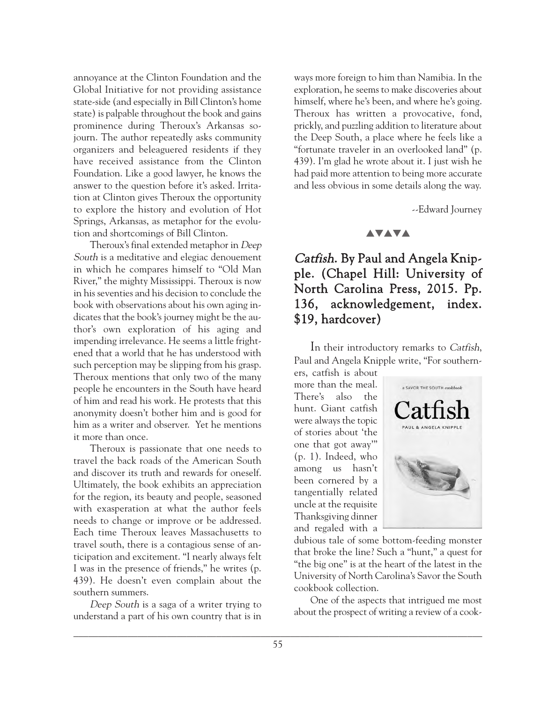annoyance at the Clinton Foundation and the Global Initiative for not providing assistance state-side (and especially in Bill Clinton's home state) is palpable throughout the book and gains prominence during Theroux's Arkansas sojourn. The author repeatedly asks community organizers and beleaguered residents if they have received assistance from the Clinton Foundation. Like a good lawyer, he knows the answer to the question before it's asked. Irritation at Clinton gives Theroux the opportunity to explore the history and evolution of Hot Springs, Arkansas, as metaphor for the evolution and shortcomings of Bill Clinton.

Theroux's final extended metaphor in Deep South is a meditative and elegiac denouement in which he compares himself to "Old Man River," the mighty Mississippi. Theroux is now in his seventies and his decision to conclude the book with observations about his own aging indicates that the book's journey might be the author's own exploration of his aging and impending irrelevance. He seems a little frightened that a world that he has understood with such perception may be slipping from his grasp. Theroux mentions that only two of the many people he encounters in the South have heard of him and read his work. He protests that this anonymity doesn't bother him and is good for him as a writer and observer. Yet he mentions it more than once.

Theroux is passionate that one needs to travel the back roads of the American South and discover its truth and rewards for oneself. Ultimately, the book exhibits an appreciation for the region, its beauty and people, seasoned with exasperation at what the author feels needs to change or improve or be addressed. Each time Theroux leaves Massachusetts to travel south, there is a contagious sense of anticipation and excitement. "I nearly always felt I was in the presence of friends," he writes (p. 439). He doesn't even complain about the southern summers.

Deep South is a saga of a writer trying to understand a part of his own country that is in ways more foreign to him than Namibia. In the exploration, he seems to make discoveries about himself, where he's been, and where he's going. Theroux has written a provocative, fond, prickly, and puzzling addition to literature about the Deep South, a place where he feels like a "fortunate traveler in an overlooked land" (p. 439). I'm glad he wrote about it. I just wish he had paid more attention to being more accurate and less obvious in some details along the way.

--Edward Journey

## **AVAVA**

# Catfish. By Paul and Angela Knipple. (Chapel Hill: University of North Carolina Press, 2015. Pp. 136, acknowledgement, index. \$19, hardcover)

In their introductory remarks to Catfish, Paul and Angela Knipple write, "For southern-

ers, catfish is about more than the meal. There's also the hunt. Giant catfish were always the topic of stories about 'the one that got away'" (p. 1). Indeed, who among us hasn't been cornered by a tangentially related uncle at the requisite Thanksgiving dinner and regaled with a



dubious tale of some bottom-feeding monster that broke the line? Such a "hunt," a quest for "the big one" is at the heart of the latest in the University of North Carolina's Savor the South cookbook collection.

One of the aspects that intrigued me most about the prospect of writing a review of a cook-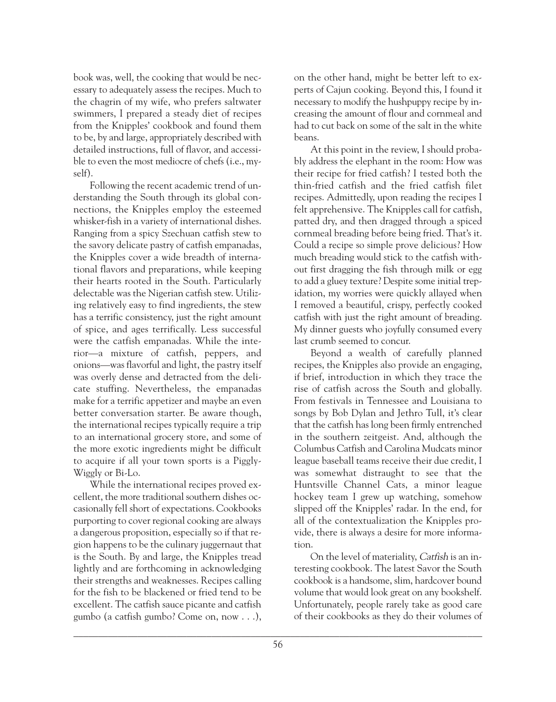book was, well, the cooking that would be necessary to adequately assess the recipes. Much to the chagrin of my wife, who prefers saltwater swimmers, I prepared a steady diet of recipes from the Knipples' cookbook and found them to be, by and large, appropriately described with detailed instructions, full of flavor, and accessible to even the most mediocre of chefs (i.e., myself).

Following the recent academic trend of understanding the South through its global connections, the Knipples employ the esteemed whisker-fish in a variety of international dishes. Ranging from a spicy Szechuan catfish stew to the savory delicate pastry of catfish empanadas, the Knipples cover a wide breadth of international flavors and preparations, while keeping their hearts rooted in the South. Particularly delectable was the Nigerian catfish stew. Utilizing relatively easy to find ingredients, the stew has a terrific consistency, just the right amount of spice, and ages terrifically. Less successful were the catfish empanadas. While the interior—a mixture of catfish, peppers, and onions—was flavorful and light, the pastry itself was overly dense and detracted from the delicate stuffing. Nevertheless, the empanadas make for a terrific appetizer and maybe an even better conversation starter. Be aware though, the international recipes typically require a trip to an international grocery store, and some of the more exotic ingredients might be difficult to acquire if all your town sports is a Piggly-Wiggly or Bi-Lo.

While the international recipes proved excellent, the more traditional southern dishes occasionally fell short of expectations. Cookbooks purporting to cover regional cooking are always a dangerous proposition, especially so if that region happens to be the culinary juggernaut that is the South. By and large, the Knipples tread lightly and are forthcoming in acknowledging their strengths and weaknesses. Recipes calling for the fish to be blackened or fried tend to be excellent. The catfish sauce picante and catfish gumbo (a catfish gumbo? Come on, now . . .),

on the other hand, might be better left to experts of Cajun cooking. Beyond this, I found it necessary to modify the hushpuppy recipe by increasing the amount of flour and cornmeal and had to cut back on some of the salt in the white beans.

At this point in the review, I should probably address the elephant in the room: How was their recipe for fried catfish? I tested both the thin-fried catfish and the fried catfish filet recipes. Admittedly, upon reading the recipes I felt apprehensive. The Knipples call for catfish, patted dry, and then dragged through a spiced cornmeal breading before being fried. That's it. Could a recipe so simple prove delicious? How much breading would stick to the catfish without first dragging the fish through milk or egg to add a gluey texture? Despite some initial trepidation, my worries were quickly allayed when I removed a beautiful, crispy, perfectly cooked catfish with just the right amount of breading. My dinner guests who joyfully consumed every last crumb seemed to concur.

Beyond a wealth of carefully planned recipes, the Knipples also provide an engaging, if brief, introduction in which they trace the rise of catfish across the South and globally. From festivals in Tennessee and Louisiana to songs by Bob Dylan and Jethro Tull, it's clear that the catfish has long been firmly entrenched in the southern zeitgeist. And, although the Columbus Catfish and Carolina Mudcats minor league baseball teams receive their due credit, I was somewhat distraught to see that the Huntsville Channel Cats, a minor league hockey team I grew up watching, somehow slipped off the Knipples' radar. In the end, for all of the contextualization the Knipples provide, there is always a desire for more information.

On the level of materiality, Catfish is an interesting cookbook. The latest Savor the South cookbook is a handsome, slim, hardcover bound volume that would look great on any bookshelf. Unfortunately, people rarely take as good care of their cookbooks as they do their volumes of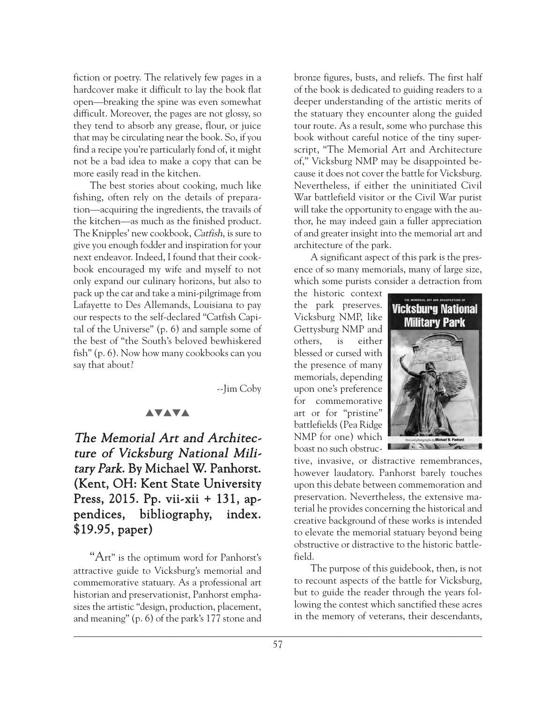fiction or poetry. The relatively few pages in a hardcover make it difficult to lay the book flat open—breaking the spine was even somewhat difficult. Moreover, the pages are not glossy, so they tend to absorb any grease, flour, or juice that may be circulating near the book. So, if you find a recipe you're particularly fond of, it might not be a bad idea to make a copy that can be more easily read in the kitchen.

The best stories about cooking, much like fishing, often rely on the details of preparation—acquiring the ingredients, the travails of the kitchen—as much as the finished product. The Knipples' new cookbook, Catfish, is sure to give you enough fodder and inspiration for your next endeavor. Indeed, I found that their cookbook encouraged my wife and myself to not only expand our culinary horizons, but also to pack up the car and take a mini-pilgrimage from Lafayette to Des Allemands, Louisiana to pay our respects to the self-declared "Catfish Capital of the Universe" (p. 6) and sample some of the best of "the South's beloved bewhiskered fish" (p. 6). Now how many cookbooks can you say that about?

--Jim Coby

### **AVAVA**

# The Memorial Art and Architecture of Vicksburg National Military Park. By Michael W. Panhorst. (Kent, OH: Kent State University Press, 2015. Pp. vii-xii + 131, appendices, bibliography, index. \$19.95, paper)

"Art" is the optimum word for Panhorst's attractive guide to Vicksburg's memorial and commemorative statuary. As a professional art historian and preservationist, Panhorst emphasizes the artistic "design, production, placement, and meaning" (p. 6) of the park's 177 stone and bronze figures, busts, and reliefs. The first half of the book is dedicated to guiding readers to a deeper understanding of the artistic merits of the statuary they encounter along the guided tour route. As a result, some who purchase this book without careful notice of the tiny superscript, "The Memorial Art and Architecture of," Vicksburg NMP may be disappointed because it does not cover the battle for Vicksburg. Nevertheless, if either the uninitiated Civil War battlefield visitor or the Civil War purist will take the opportunity to engage with the author, he may indeed gain a fuller appreciation of and greater insight into the memorial art and architecture of the park.

A significant aspect of this park is the presence of so many memorials, many of large size, which some purists consider a detraction from

the historic context the park preserves. Vicksburg NMP, like Gettysburg NMP and others, is either blessed or cursed with the presence of many memorials, depending upon one's preference for commemorative art or for "pristine" battlefields (Pea Ridge NMP for one) which boast no such obstruc-



tive, invasive, or distractive remembrances, however laudatory. Panhorst barely touches upon this debate between commemoration and preservation. Nevertheless, the extensive material he provides concerning the historical and creative background of these works is intended to elevate the memorial statuary beyond being obstructive or distractive to the historic battlefield.

The purpose of this guidebook, then, is not to recount aspects of the battle for Vicksburg, but to guide the reader through the years following the contest which sanctified these acres in the memory of veterans, their descendants,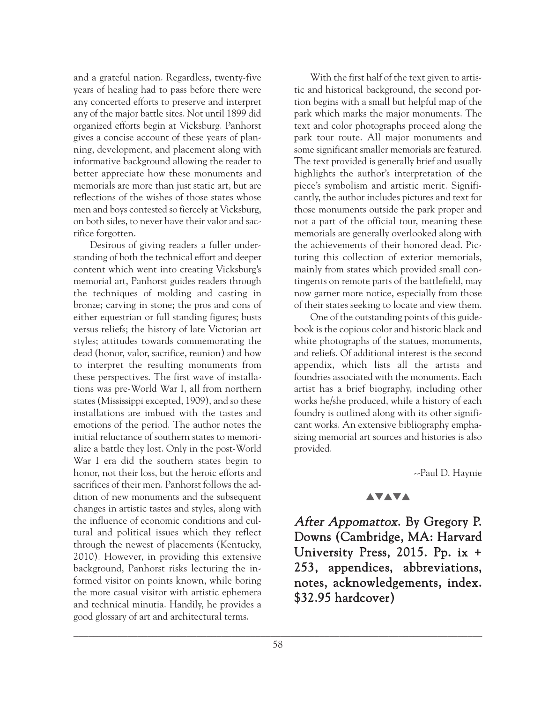and a grateful nation. Regardless, twenty-five years of healing had to pass before there were any concerted efforts to preserve and interpret any of the major battle sites. Not until 1899 did organized efforts begin at Vicksburg. Panhorst gives a concise account of these years of planning, development, and placement along with informative background allowing the reader to better appreciate how these monuments and memorials are more than just static art, but are reflections of the wishes of those states whose men and boys contested so fiercely at Vicksburg, on both sides, to never have their valor and sacrifice forgotten.

Desirous of giving readers a fuller understanding of both the technical effort and deeper content which went into creating Vicksburg's memorial art, Panhorst guides readers through the techniques of molding and casting in bronze; carving in stone; the pros and cons of either equestrian or full standing figures; busts versus reliefs; the history of late Victorian art styles; attitudes towards commemorating the dead (honor, valor, sacrifice, reunion) and how to interpret the resulting monuments from these perspectives. The first wave of installations was pre-World War I, all from northern states (Mississippi excepted, 1909), and so these installations are imbued with the tastes and emotions of the period. The author notes the initial reluctance of southern states to memorialize a battle they lost. Only in the post-World War I era did the southern states begin to honor, not their loss, but the heroic efforts and sacrifices of their men. Panhorst follows the addition of new monuments and the subsequent changes in artistic tastes and styles, along with the influence of economic conditions and cultural and political issues which they reflect through the newest of placements (Kentucky, 2010). However, in providing this extensive background, Panhorst risks lecturing the informed visitor on points known, while boring the more casual visitor with artistic ephemera and technical minutia. Handily, he provides a good glossary of art and architectural terms.

With the first half of the text given to artistic and historical background, the second portion begins with a small but helpful map of the park which marks the major monuments. The text and color photographs proceed along the park tour route. All major monuments and some significant smaller memorials are featured. The text provided is generally brief and usually highlights the author's interpretation of the piece's symbolism and artistic merit. Significantly, the author includes pictures and text for those monuments outside the park proper and not a part of the official tour, meaning these memorials are generally overlooked along with the achievements of their honored dead. Picturing this collection of exterior memorials, mainly from states which provided small contingents on remote parts of the battlefield, may now garner more notice, especially from those of their states seeking to locate and view them.

One of the outstanding points of this guidebook is the copious color and historic black and white photographs of the statues, monuments, and reliefs. Of additional interest is the second appendix, which lists all the artists and foundries associated with the monuments. Each artist has a brief biography, including other works he/she produced, while a history of each foundry is outlined along with its other significant works. An extensive bibliography emphasizing memorial art sources and histories is also provided.

--Paul D. Haynie

## **AVAVA**

After Appomattox. By Gregory P. Downs (Cambridge, MA: Harvard University Press, 2015. Pp. ix + 253, appendices, abbreviations, notes, acknowledgements, index. \$32.95 hardcover)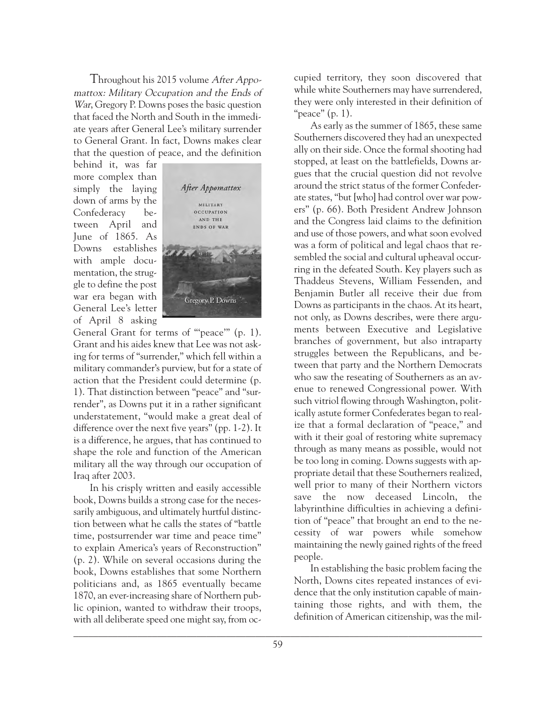Throughout his 2015 volume After Appomattox: Military Occupation and the Ends of War, Gregory P. Downs poses the basic question that faced the North and South in the immediate years after General Lee's military surrender to General Grant. In fact, Downs makes clear that the question of peace, and the definition

behind it, was far more complex than simply the laying down of arms by the Confederacy between April and June of 1865. As Downs establishes with ample documentation, the struggle to define the post war era began with General Lee's letter of April 8 asking



General Grant for terms of "'peace'" (p. 1). Grant and his aides knew that Lee was not asking for terms of "surrender," which fell within a military commander's purview, but for a state of action that the President could determine (p. 1). That distinction between "peace" and "surrender", as Downs put it in a rather significant understatement, "would make a great deal of difference over the next five years" (pp. 1-2). It is a difference, he argues, that has continued to shape the role and function of the American military all the way through our occupation of Iraq after 2003.

In his crisply written and easily accessible book, Downs builds a strong case for the necessarily ambiguous, and ultimately hurtful distinction between what he calls the states of "battle time, postsurrender war time and peace time" to explain America's years of Reconstruction" (p. 2). While on several occasions during the book, Downs establishes that some Northern politicians and, as 1865 eventually became 1870, an ever-increasing share of Northern public opinion, wanted to withdraw their troops, with all deliberate speed one might say, from occupied territory, they soon discovered that while white Southerners may have surrendered, they were only interested in their definition of "peace" (p. 1).

As early as the summer of 1865, these same Southerners discovered they had an unexpected ally on their side. Once the formal shooting had stopped, at least on the battlefields, Downs argues that the crucial question did not revolve around the strict status of the former Confederate states, "but [who] had control over war powers" (p. 66). Both President Andrew Johnson and the Congress laid claims to the definition and use of those powers, and what soon evolved was a form of political and legal chaos that resembled the social and cultural upheaval occurring in the defeated South. Key players such as Thaddeus Stevens, William Fessenden, and Benjamin Butler all receive their due from Downs as participants in the chaos. At its heart, not only, as Downs describes, were there arguments between Executive and Legislative branches of government, but also intraparty struggles between the Republicans, and between that party and the Northern Democrats who saw the reseating of Southerners as an avenue to renewed Congressional power. With such vitriol flowing through Washington, politically astute former Confederates began to realize that a formal declaration of "peace," and with it their goal of restoring white supremacy through as many means as possible, would not be too long in coming. Downs suggests with appropriate detail that these Southerners realized, well prior to many of their Northern victors save the now deceased Lincoln, the labyrinthine difficulties in achieving a definition of "peace" that brought an end to the necessity of war powers while somehow maintaining the newly gained rights of the freed people.

In establishing the basic problem facing the North, Downs cites repeated instances of evidence that the only institution capable of maintaining those rights, and with them, the definition of American citizenship, was the mil-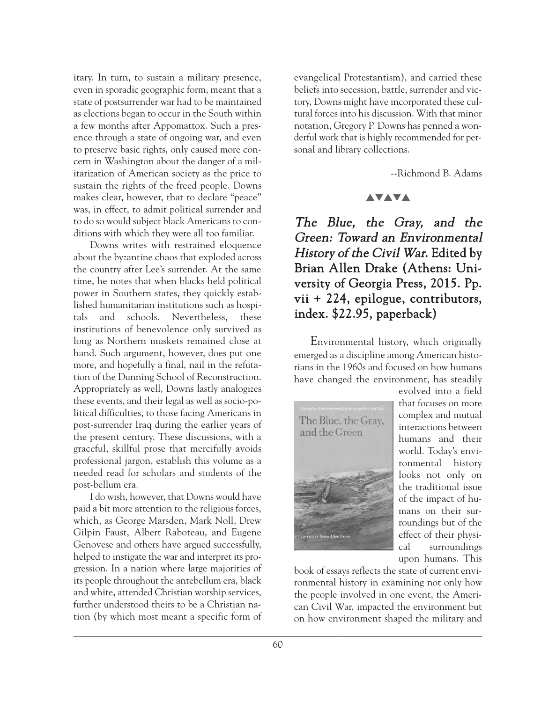itary. In turn, to sustain a military presence, even in sporadic geographic form, meant that a state of postsurrender war had to be maintained as elections began to occur in the South within a few months after Appomattox. Such a presence through a state of ongoing war, and even to preserve basic rights, only caused more concern in Washington about the danger of a militarization of American society as the price to sustain the rights of the freed people. Downs makes clear, however, that to declare "peace" was, in effect, to admit political surrender and to do so would subject black Americans to conditions with which they were all too familiar.

Downs writes with restrained eloquence about the byzantine chaos that exploded across the country after Lee's surrender. At the same time, he notes that when blacks held political power in Southern states, they quickly established humanitarian institutions such as hospitals and schools. Nevertheless, these institutions of benevolence only survived as long as Northern muskets remained close at hand. Such argument, however, does put one more, and hopefully a final, nail in the refutation of the Dunning School of Reconstruction. Appropriately as well, Downs lastly analogizes these events, and their legal as well as socio-political difficulties, to those facing Americans in post-surrender Iraq during the earlier years of the present century. These discussions, with a graceful, skillful prose that mercifully avoids professional jargon, establish this volume as a needed read for scholars and students of the post-bellum era.

I do wish, however, that Downs would have paid a bit more attention to the religious forces, which, as George Marsden, Mark Noll, Drew Gilpin Faust, Albert Raboteau, and Eugene Genovese and others have argued successfully, helped to instigate the war and interpret its progression. In a nation where large majorities of its people throughout the antebellum era, black and white, attended Christian worship services, further understood theirs to be a Christian nation (by which most meant a specific form of

evangelical Protestantism), and carried these beliefs into secession, battle, surrender and victory, Downs might have incorporated these cultural forces into his discussion. With that minor notation, Gregory P. Downs has penned a wonderful work that is highly recommended for personal and library collections.

--Richmond B. Adams

#### **AVAVA**

The Blue, the Gray, and the Green: Toward an Environmental History of the Civil War. Edited by Brian Allen Drake (Athens: University of Georgia Press, 2015. Pp. vii + 224, epilogue, contributors, index. \$22.95, paperback)

Environmental history, which originally emerged as a discipline among American historians in the 1960s and focused on how humans have changed the environment, has steadily



evolved into a field that focuses on more complex and mutual interactions between humans and their world. Today's environmental history looks not only on the traditional issue of the impact of humans on their surroundings but of the effect of their physical surroundings upon humans. This

book of essays reflects the state of current environmental history in examining not only how the people involved in one event, the American Civil War, impacted the environment but on how environment shaped the military and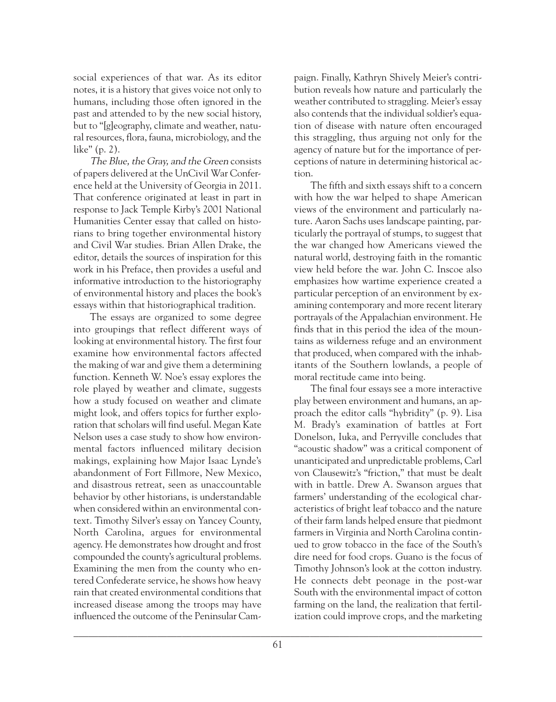social experiences of that war. As its editor notes, it is a history that gives voice not only to humans, including those often ignored in the past and attended to by the new social history, but to "[g]eography, climate and weather, natural resources, flora, fauna, microbiology, and the like" (p. 2).

The Blue, the Gray, and the Green consists of papers delivered at the UnCivil War Conference held at the University of Georgia in 2011. That conference originated at least in part in response to Jack Temple Kirby's 2001 National Humanities Center essay that called on historians to bring together environmental history and Civil War studies. Brian Allen Drake, the editor, details the sources of inspiration for this work in his Preface, then provides a useful and informative introduction to the historiography of environmental history and places the book's essays within that historiographical tradition.

The essays are organized to some degree into groupings that reflect different ways of looking at environmental history. The first four examine how environmental factors affected the making of war and give them a determining function. Kenneth W. Noe's essay explores the role played by weather and climate, suggests how a study focused on weather and climate might look, and offers topics for further exploration that scholars will find useful. Megan Kate Nelson uses a case study to show how environmental factors influenced military decision makings, explaining how Major Isaac Lynde's abandonment of Fort Fillmore, New Mexico, and disastrous retreat, seen as unaccountable behavior by other historians, is understandable when considered within an environmental context. Timothy Silver's essay on Yancey County, North Carolina, argues for environmental agency. He demonstrates how drought and frost compounded the county's agricultural problems. Examining the men from the county who entered Confederate service, he shows how heavy rain that created environmental conditions that increased disease among the troops may have influenced the outcome of the Peninsular Campaign. Finally, Kathryn Shively Meier's contribution reveals how nature and particularly the weather contributed to straggling. Meier's essay also contends that the individual soldier's equation of disease with nature often encouraged this straggling, thus arguing not only for the agency of nature but for the importance of perceptions of nature in determining historical action.

The fifth and sixth essays shift to a concern with how the war helped to shape American views of the environment and particularly nature. Aaron Sachs uses landscape painting, particularly the portrayal of stumps, to suggest that the war changed how Americans viewed the natural world, destroying faith in the romantic view held before the war. John C. Inscoe also emphasizes how wartime experience created a particular perception of an environment by examining contemporary and more recent literary portrayals of the Appalachian environment. He finds that in this period the idea of the mountains as wilderness refuge and an environment that produced, when compared with the inhabitants of the Southern lowlands, a people of moral rectitude came into being.

The final four essays see a more interactive play between environment and humans, an approach the editor calls "hybridity" (p. 9). Lisa M. Brady's examination of battles at Fort Donelson, Iuka, and Perryville concludes that "acoustic shadow" was a critical component of unanticipated and unpredictable problems, Carl von Clausewitz's "friction," that must be dealt with in battle. Drew A. Swanson argues that farmers' understanding of the ecological characteristics of bright leaf tobacco and the nature of their farm lands helped ensure that piedmont farmers in Virginia and North Carolina continued to grow tobacco in the face of the South's dire need for food crops. Guano is the focus of Timothy Johnson's look at the cotton industry. He connects debt peonage in the post-war South with the environmental impact of cotton farming on the land, the realization that fertilization could improve crops, and the marketing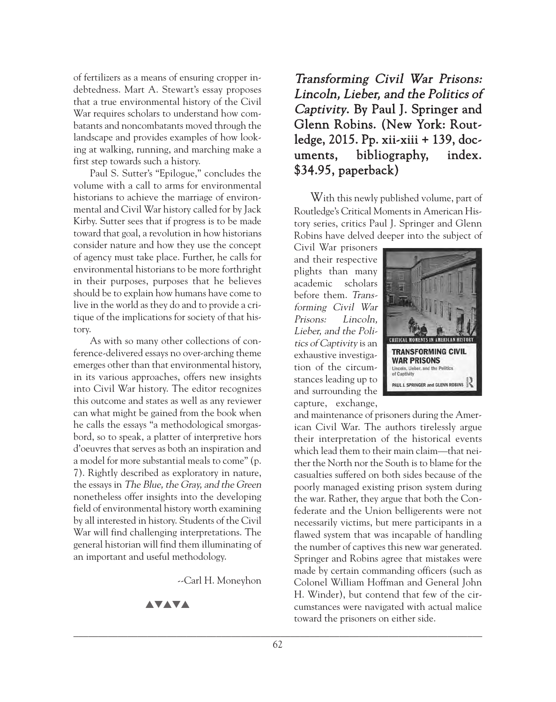of fertilizers as a means of ensuring cropper indebtedness. Mart A. Stewart's essay proposes that a true environmental history of the Civil War requires scholars to understand how combatants and noncombatants moved through the landscape and provides examples of how looking at walking, running, and marching make a first step towards such a history.

Paul S. Sutter's "Epilogue," concludes the volume with a call to arms for environmental historians to achieve the marriage of environmental and Civil War history called for by Jack Kirby. Sutter sees that if progress is to be made toward that goal, a revolution in how historians consider nature and how they use the concept of agency must take place. Further, he calls for environmental historians to be more forthright in their purposes, purposes that he believes should be to explain how humans have come to live in the world as they do and to provide a critique of the implications for society of that history.

As with so many other collections of conference-delivered essays no over-arching theme emerges other than that environmental history, in its various approaches, offers new insights into Civil War history. The editor recognizes this outcome and states as well as any reviewer can what might be gained from the book when he calls the essays "a methodological smorgasbord, so to speak, a platter of interpretive hors d'oeuvres that serves as both an inspiration and a model for more substantial meals to come" (p. 7). Rightly described as exploratory in nature, the essays in The Blue, the Gray, and the Green nonetheless offer insights into the developing field of environmental history worth examining by all interested in history. Students of the Civil War will find challenging interpretations. The general historian will find them illuminating of an important and useful methodology.

--Carl H. Moneyhon

#### **AVAVA**

## Transforming Civil War Prisons: Lincoln, Lieber, and the Politics of Captivity. By Paul J. Springer and Glenn Robins. (New York: Routledge, 2015. Pp. xii-xiii + 139, documents, bibliography, index. \$34.95, paperback)

With this newly published volume, part of Routledge's Critical Moments in American History series, critics Paul J. Springer and Glenn Robins have delved deeper into the subject of

Civil War prisoners and their respective plights than many academic scholars before them. Transforming Civil War Prisons: Lincoln, Lieber, and the Politics of Captivity is an exhaustive investigation of the circumstances leading up to and surrounding the capture, exchange,



and maintenance of prisoners during the American Civil War. The authors tirelessly argue their interpretation of the historical events which lead them to their main claim—that neither the North nor the South is to blame for the casualties suffered on both sides because of the poorly managed existing prison system during the war. Rather, they argue that both the Confederate and the Union belligerents were not necessarily victims, but mere participants in a flawed system that was incapable of handling the number of captives this new war generated. Springer and Robins agree that mistakes were made by certain commanding officers (such as Colonel William Hoffman and General John H. Winder), but contend that few of the circumstances were navigated with actual malice toward the prisoners on either side.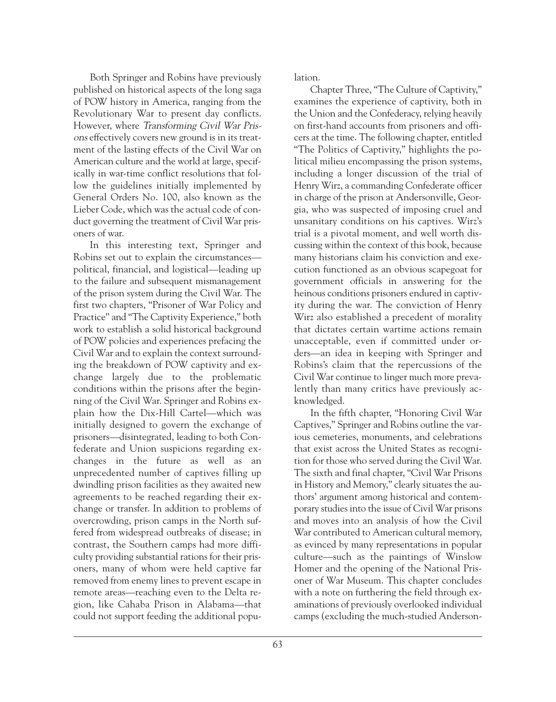Both Springer and Robins have previously published on historical aspects of the long saga of POW history in America, ranging from the Revolutionary War to present day conflicts. However, where Transforming Civil War Prisons effectively covers new ground is in its treatment of the lasting effects of the Civil War on American culture and the world at large, specifically in war-time conflict resolutions that follow the guidelines initially implemented by General Orders No. 100, also known as the Lieber Code, which was the actual code of conduct governing the treatment of Civil War prisoners of war.

In this interesting text, Springer and Robins set out to explain the circumstances political, financial, and logistical—leading up to the failure and subsequent mismanagement of the prison system during the Civil War. The first two chapters, "Prisoner of War Policy and Practice" and "The Captivity Experience," both work to establish a solid historical background of POW policies and experiences prefacing the Civil War and to explain the context surrounding the breakdown of POW captivity and exchange largely due to the problematic conditions within the prisons after the beginning of the Civil War. Springer and Robins explain how the Dix-Hill Cartel—which was initially designed to govern the exchange of prisoners—disintegrated, leading to both Confederate and Union suspicions regarding exchanges in the future as well as an unprecedented number of captives filling up dwindling prison facilities as they awaited new agreements to be reached regarding their exchange or transfer. In addition to problems of overcrowding, prison camps in the North suffered from widespread outbreaks of disease; in contrast, the Southern camps had more difficulty providing substantial rations for their prisoners, many of whom were held captive far removed from enemy lines to prevent escape in remote areas—reaching even to the Delta region, like Cahaba Prison in Alabama—that could not support feeding the additional population.

Chapter Three, "The Culture of Captivity," examines the experience of captivity, both in the Union and the Confederacy, relying heavily on first-hand accounts from prisoners and officers at the time. The following chapter, entitled "The Politics of Captivity," highlights the political milieu encompassing the prison systems, including a longer discussion of the trial of Henry Wirz, a commanding Confederate officer in charge of the prison at Andersonville, Georgia, who was suspected of imposing cruel and unsanitary conditions on his captives. Wirz's trial is a pivotal moment, and well worth discussing within the context of this book, because many historians claim his conviction and execution functioned as an obvious scapegoat for government officials in answering for the heinous conditions prisoners endured in captivity during the war. The conviction of Henry Wirz also established a precedent of morality that dictates certain wartime actions remain unacceptable, even if committed under orders—an idea in keeping with Springer and Robins's claim that the repercussions of the Civil War continue to linger much more prevalently than many critics have previously acknowledged.

In the fifth chapter, "Honoring Civil War Captives," Springer and Robins outline the various cemeteries, monuments, and celebrations that exist across the United States as recognition for those who served during the Civil War. The sixth and final chapter, "Civil War Prisons in History and Memory," clearly situates the authors' argument among historical and contemporary studies into the issue of Civil War prisons and moves into an analysis of how the Civil War contributed to American cultural memory, as evinced by many representations in popular culture—such as the paintings of Winslow Homer and the opening of the National Prisoner of War Museum. This chapter concludes with a note on furthering the field through examinations of previously overlooked individual camps (excluding the much-studied Anderson-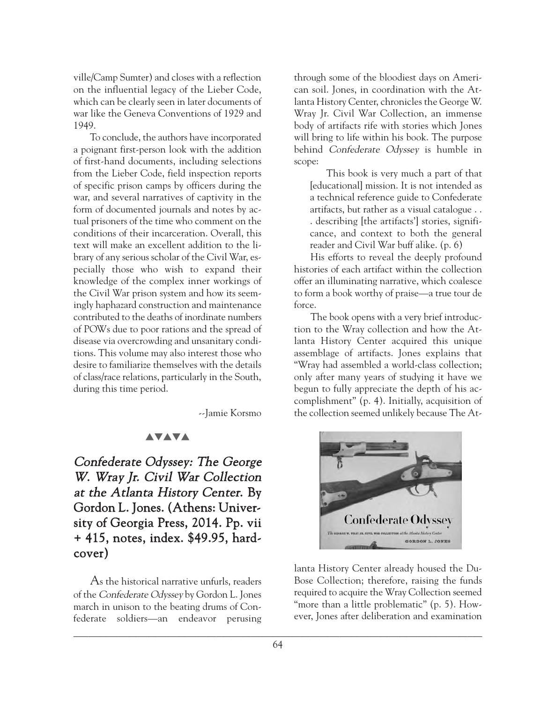ville/Camp Sumter) and closes with a reflection on the influential legacy of the Lieber Code, which can be clearly seen in later documents of war like the Geneva Conventions of 1929 and 1949.

To conclude, the authors have incorporated a poignant first-person look with the addition of first-hand documents, including selections from the Lieber Code, field inspection reports of specific prison camps by officers during the war, and several narratives of captivity in the form of documented journals and notes by actual prisoners of the time who comment on the conditions of their incarceration. Overall, this text will make an excellent addition to the library of any serious scholar of the Civil War, especially those who wish to expand their knowledge of the complex inner workings of the Civil War prison system and how its seemingly haphazard construction and maintenance contributed to the deaths of inordinate numbers of POWs due to poor rations and the spread of disease via overcrowding and unsanitary conditions. This volume may also interest those who desire to familiarize themselves with the details of class/race relations, particularly in the South, during this time period.

--Jamie Korsmo

#### **AVAVA**

Confederate Odyssey: The George <sup>W</sup>. Wray Jr. Civil War Collection at the Atlanta History Center. By Gordon L. Jones. (Athens: University of Georgia Press, 2014. Pp. vii + 415, notes, index. \$49.95, hardcover)

As the historical narrative unfurls, readers of the Confederate Odyssey by Gordon L. Jones march in unison to the beating drums of Confederate soldiers—an endeavor perusing

through some of the bloodiest days on American soil. Jones, in coordination with the Atlanta History Center, chronicles the George W. Wray Jr. Civil War Collection, an immense body of artifacts rife with stories which Jones will bring to life within his book. The purpose behind Confederate Odyssey is humble in scope:

This book is very much a part of that [educational] mission. It is not intended as a technical reference guide to Confederate artifacts, but rather as a visual catalogue . . . describing [the artifacts'] stories, significance, and context to both the general reader and Civil War buff alike. (p. 6)

His efforts to reveal the deeply profound histories of each artifact within the collection offer an illuminating narrative, which coalesce to form a book worthy of praise—a true tour de force.

The book opens with a very brief introduction to the Wray collection and how the Atlanta History Center acquired this unique assemblage of artifacts. Jones explains that "Wray had assembled a world-class collection; only after many years of studying it have we begun to fully appreciate the depth of his accomplishment" (p. 4). Initially, acquisition of the collection seemed unlikely because The At-



lanta History Center already housed the Du-Bose Collection; therefore, raising the funds required to acquire the Wray Collection seemed "more than a little problematic" (p. 5). However, Jones after deliberation and examination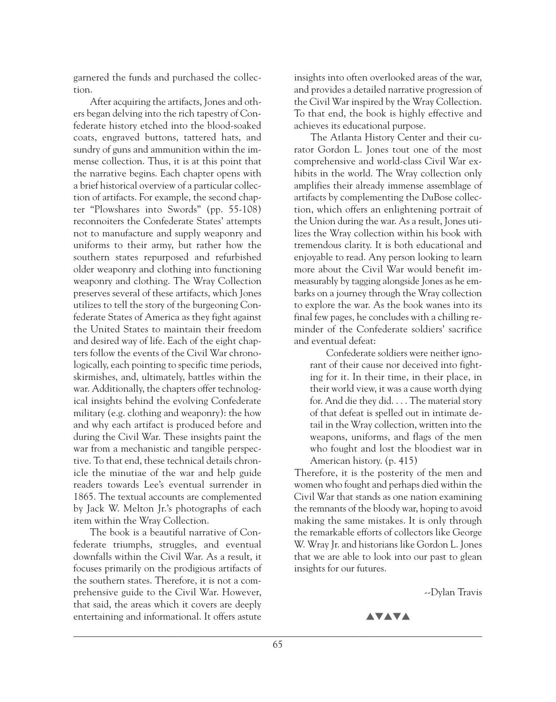garnered the funds and purchased the collection.

After acquiring the artifacts, Jones and others began delving into the rich tapestry of Confederate history etched into the blood-soaked coats, engraved buttons, tattered hats, and sundry of guns and ammunition within the immense collection. Thus, it is at this point that the narrative begins. Each chapter opens with a brief historical overview of a particular collection of artifacts. For example, the second chapter "Plowshares into Swords" (pp. 55-108) reconnoiters the Confederate States' attempts not to manufacture and supply weaponry and uniforms to their army, but rather how the southern states repurposed and refurbished older weaponry and clothing into functioning weaponry and clothing. The Wray Collection preserves several of these artifacts, which Jones utilizes to tell the story of the burgeoning Confederate States of America as they fight against the United States to maintain their freedom and desired way of life. Each of the eight chapters follow the events of the Civil War chronologically, each pointing to specific time periods, skirmishes, and, ultimately, battles within the war. Additionally, the chapters offer technological insights behind the evolving Confederate military (e.g. clothing and weaponry): the how and why each artifact is produced before and during the Civil War. These insights paint the war from a mechanistic and tangible perspective. To that end, these technical details chronicle the minutiae of the war and help guide readers towards Lee's eventual surrender in 1865. The textual accounts are complemented by Jack W. Melton Jr.'s photographs of each item within the Wray Collection.

The book is a beautiful narrative of Confederate triumphs, struggles, and eventual downfalls within the Civil War. As a result, it focuses primarily on the prodigious artifacts of the southern states. Therefore, it is not a comprehensive guide to the Civil War. However, that said, the areas which it covers are deeply entertaining and informational. It offers astute

insights into often overlooked areas of the war, and provides a detailed narrative progression of the Civil War inspired by the Wray Collection. To that end, the book is highly effective and achieves its educational purpose.

The Atlanta History Center and their curator Gordon L. Jones tout one of the most comprehensive and world-class Civil War exhibits in the world. The Wray collection only amplifies their already immense assemblage of artifacts by complementing the DuBose collection, which offers an enlightening portrait of the Union during the war. As a result, Jones utilizes the Wray collection within his book with tremendous clarity. It is both educational and enjoyable to read. Any person looking to learn more about the Civil War would benefit immeasurably by tagging alongside Jones as he embarks on a journey through the Wray collection to explore the war. As the book wanes into its final few pages, he concludes with a chilling reminder of the Confederate soldiers' sacrifice and eventual defeat:

Confederate soldiers were neither ignorant of their cause nor deceived into fighting for it. In their time, in their place, in their world view, it was a cause worth dying for. And die they did. . . . The material story of that defeat is spelled out in intimate detail in the Wray collection, written into the weapons, uniforms, and flags of the men who fought and lost the bloodiest war in American history. (p. 415)

Therefore, it is the posterity of the men and women who fought and perhaps died within the Civil War that stands as one nation examining the remnants of the bloody war, hoping to avoid making the same mistakes. It is only through the remarkable efforts of collectors like George W. Wray Jr. and historians like Gordon L. Jones that we are able to look into our past to glean insights for our futures.

--Dylan Travis

```
AVAVA
```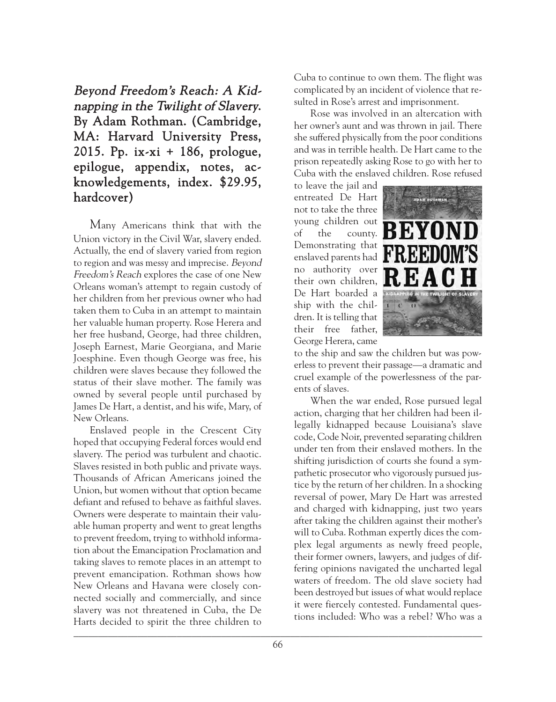Beyond Freedom's Reach: A Kidnapping in the Twilight of Slavery. By Adam Rothman. (Cambridge, MA: Harvard University Press, 2015. Pp. ix-xi + 186, prologue, epilogue, appendix, notes, acknowledgements, index. \$29.95, hardcover)

Many Americans think that with the Union victory in the Civil War, slavery ended. Actually, the end of slavery varied from region to region and was messy and imprecise. Beyond Freedom's Reach explores the case of one New Orleans woman's attempt to regain custody of her children from her previous owner who had taken them to Cuba in an attempt to maintain her valuable human property. Rose Herera and her free husband, George, had three children, Joseph Earnest, Marie Georgiana, and Marie Joesphine. Even though George was free, his children were slaves because they followed the status of their slave mother. The family was owned by several people until purchased by James De Hart, a dentist, and his wife, Mary, of New Orleans.

Enslaved people in the Crescent City hoped that occupying Federal forces would end slavery. The period was turbulent and chaotic. Slaves resisted in both public and private ways. Thousands of African Americans joined the Union, but women without that option became defiant and refused to behave as faithful slaves. Owners were desperate to maintain their valuable human property and went to great lengths to prevent freedom, trying to withhold information about the Emancipation Proclamation and taking slaves to remote places in an attempt to prevent emancipation. Rothman shows how New Orleans and Havana were closely connected socially and commercially, and since slavery was not threatened in Cuba, the De Harts decided to spirit the three children to  $\Box$ 

Cuba to continue to own them. The flight was complicated by an incident of violence that resulted in Rose's arrest and imprisonment.

Rose was involved in an altercation with her owner's aunt and was thrown in jail. There she suffered physically from the poor conditions and was in terrible health. De Hart came to the prison repeatedly asking Rose to go with her to Cuba with the enslaved children. Rose refused

to leave the jail and entreated De Hart not to take the three young children out of the county. Demonstrating that enslaved parents had no authority over their own children, De Hart boarded a ship with the children. It is telling that their free father, George Herera, came



to the ship and saw the children but was powerless to prevent their passage—a dramatic and cruel example of the powerlessness of the parents of slaves.

When the war ended, Rose pursued legal action, charging that her children had been illegally kidnapped because Louisiana's slave code, Code Noir, prevented separating children under ten from their enslaved mothers. In the shifting jurisdiction of courts she found a sympathetic prosecutor who vigorously pursued justice by the return of her children. In a shocking reversal of power, Mary De Hart was arrested and charged with kidnapping, just two years after taking the children against their mother's will to Cuba. Rothman expertly dices the complex legal arguments as newly freed people, their former owners, lawyers, and judges of differing opinions navigated the uncharted legal waters of freedom. The old slave society had been destroyed but issues of what would replace it were fiercely contested. Fundamental questions included: Who was a rebel? Who was a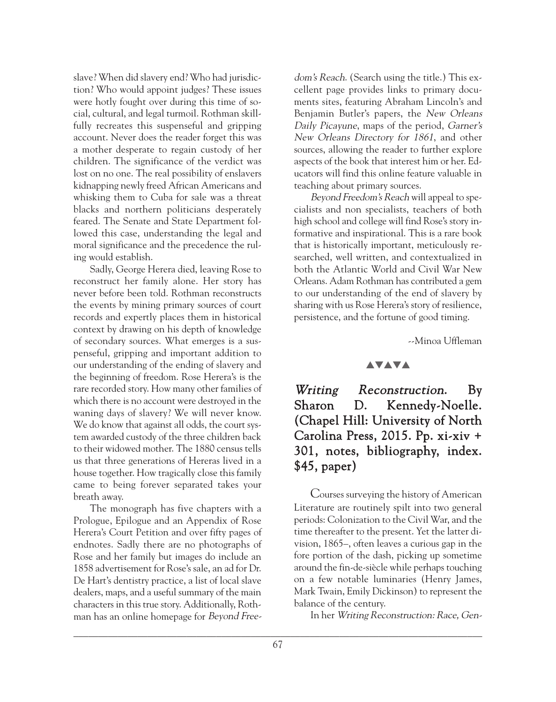slave? When did slavery end? Who had jurisdiction? Who would appoint judges? These issues were hotly fought over during this time of social, cultural, and legal turmoil. Rothman skillfully recreates this suspenseful and gripping account. Never does the reader forget this was a mother desperate to regain custody of her children. The significance of the verdict was lost on no one. The real possibility of enslavers kidnapping newly freed African Americans and whisking them to Cuba for sale was a threat blacks and northern politicians desperately feared. The Senate and State Department followed this case, understanding the legal and moral significance and the precedence the ruling would establish.

Sadly, George Herera died, leaving Rose to reconstruct her family alone. Her story has never before been told. Rothman reconstructs the events by mining primary sources of court records and expertly places them in historical context by drawing on his depth of knowledge of secondary sources. What emerges is a suspenseful, gripping and important addition to our understanding of the ending of slavery and the beginning of freedom. Rose Herera's is the rare recorded story. How many other families of which there is no account were destroyed in the waning days of slavery? We will never know. We do know that against all odds, the court system awarded custody of the three children back to their widowed mother. The 1880 census tells us that three generations of Hereras lived in a house together. How tragically close this family came to being forever separated takes your breath away.

The monograph has five chapters with a Prologue, Epilogue and an Appendix of Rose Herera's Court Petition and over fifty pages of endnotes. Sadly there are no photographs of Rose and her family but images do include an 1858 advertisement for Rose's sale, an ad for Dr. De Hart's dentistry practice, a list of local slave dealers, maps, and a useful summary of the main characters in this true story. Additionally, Rothman has an online homepage for Beyond Free-

dom's Reach. (Search using the title.) This excellent page provides links to primary documents sites, featuring Abraham Lincoln's and Benjamin Butler's papers, the New Orleans Daily Picayune, maps of the period, Garner's New Orleans Directory for 1861, and other sources, allowing the reader to further explore aspects of the book that interest him or her. Educators will find this online feature valuable in teaching about primary sources.

Beyond Freedom's Reach will appeal to specialists and non specialists, teachers of both high school and college will find Rose's story informative and inspirational. This is a rare book that is historically important, meticulously researched, well written, and contextualized in both the Atlantic World and Civil War New Orleans. Adam Rothman has contributed a gem to our understanding of the end of slavery by sharing with us Rose Herera's story of resilience, persistence, and the fortune of good timing.

--Minoa Uffleman

#### **AVAVA**

# Writing Reconstruction. By Sharon D. Kennedy-Noelle. (Chapel Hill: University of North Carolina Press, 2015. Pp. xi-xiv + 301, notes, bibliography, index. \$45, paper)

Courses surveying the history of American Literature are routinely spilt into two general periods: Colonization to the Civil War, and the time thereafter to the present. Yet the latter division, 1865–, often leaves a curious gap in the fore portion of the dash, picking up sometime around the fin-de-siècle while perhaps touching on a few notable luminaries (Henry James, Mark Twain, Emily Dickinson) to represent the balance of the century.

In her Writing Reconstruction: Race, Gen-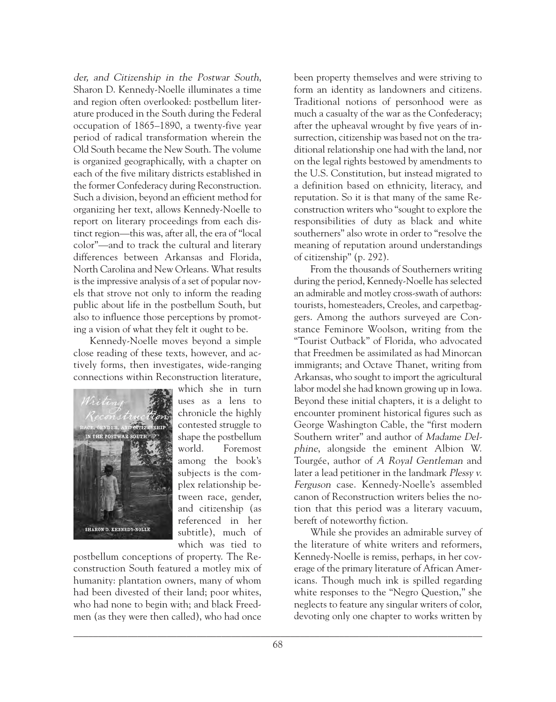der, and Citizenship in the Postwar South, Sharon D. Kennedy-Noelle illuminates a time and region often overlooked: postbellum literature produced in the South during the Federal occupation of 1865–1890, a twenty-five year period of radical transformation wherein the Old South became the New South. The volume is organized geographically, with a chapter on each of the five military districts established in the former Confederacy during Reconstruction. Such a division, beyond an efficient method for organizing her text, allows Kennedy-Noelle to report on literary proceedings from each distinct region—this was, after all, the era of "local color"—and to track the cultural and literary differences between Arkansas and Florida, North Carolina and New Orleans. What results is the impressive analysis of a set of popular novels that strove not only to inform the reading public about life in the postbellum South, but also to influence those perceptions by promoting a vision of what they felt it ought to be.

Kennedy-Noelle moves beyond a simple close reading of these texts, however, and actively forms, then investigates, wide-ranging connections within Reconstruction literature,



which she in turn uses as a lens to chronicle the highly contested struggle to shape the postbellum world. Foremost among the book's subjects is the complex relationship between race, gender, and citizenship (as referenced in her subtitle), much of which was tied to

postbellum conceptions of property. The Reconstruction South featured a motley mix of humanity: plantation owners, many of whom had been divested of their land; poor whites, who had none to begin with; and black Freedmen (as they were then called), who had once

been property themselves and were striving to form an identity as landowners and citizens. Traditional notions of personhood were as much a casualty of the war as the Confederacy; after the upheaval wrought by five years of insurrection, citizenship was based not on the traditional relationship one had with the land, nor on the legal rights bestowed by amendments to the U.S. Constitution, but instead migrated to a definition based on ethnicity, literacy, and reputation. So it is that many of the same Reconstruction writers who "sought to explore the responsibilities of duty as black and white southerners" also wrote in order to "resolve the meaning of reputation around understandings of citizenship" (p. 292).

From the thousands of Southerners writing during the period, Kennedy-Noelle has selected an admirable and motley cross-swath of authors: tourists, homesteaders, Creoles, and carpetbaggers. Among the authors surveyed are Constance Feminore Woolson, writing from the "Tourist Outback" of Florida, who advocated that Freedmen be assimilated as had Minorcan immigrants; and Octave Thanet, writing from Arkansas, who sought to import the agricultural labor model she had known growing up in Iowa. Beyond these initial chapters, it is a delight to encounter prominent historical figures such as George Washington Cable, the "first modern Southern writer" and author of Madame Delphine, alongside the eminent Albion W. Tourgée, author of A Royal Gentleman and later a lead petitioner in the landmark *Plessy v*. Ferguson case. Kennedy-Noelle's assembled canon of Reconstruction writers belies the notion that this period was a literary vacuum, bereft of noteworthy fiction.

While she provides an admirable survey of the literature of white writers and reformers, Kennedy-Noelle is remiss, perhaps, in her coverage of the primary literature of African Americans. Though much ink is spilled regarding white responses to the "Negro Question," she neglects to feature any singular writers of color, devoting only one chapter to works written by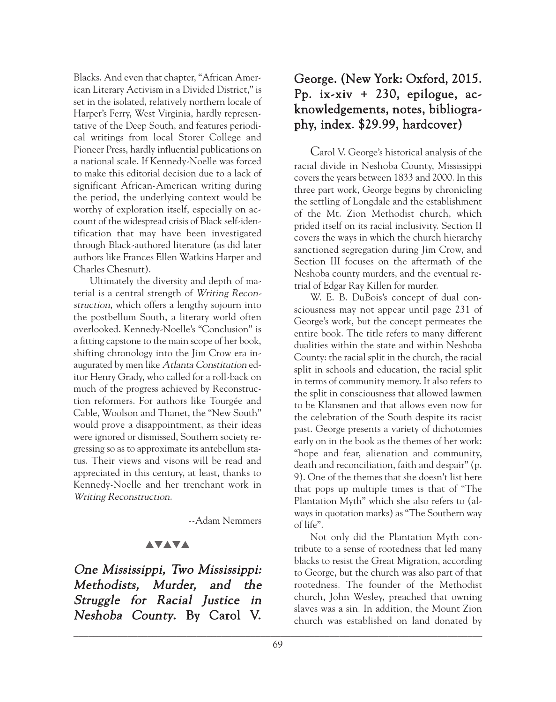Blacks. And even that chapter, "African American Literary Activism in a Divided District," is set in the isolated, relatively northern locale of Harper's Ferry, West Virginia, hardly representative of the Deep South, and features periodical writings from local Storer College and Pioneer Press, hardly influential publications on a national scale. If Kennedy-Noelle was forced to make this editorial decision due to a lack of significant African-American writing during the period, the underlying context would be worthy of exploration itself, especially on account of the widespread crisis of Black self-identification that may have been investigated through Black-authored literature (as did later authors like Frances Ellen Watkins Harper and Charles Chesnutt).

Ultimately the diversity and depth of material is a central strength of Writing Reconstruction, which offers a lengthy sojourn into the postbellum South, a literary world often overlooked. Kennedy-Noelle's "Conclusion" is a fitting capstone to the main scope of her book, shifting chronology into the Jim Crow era inaugurated by men like Atlanta Constitution editor Henry Grady, who called for a roll-back on much of the progress achieved by Reconstruction reformers. For authors like Tourgée and Cable, Woolson and Thanet, the "New South" would prove a disappointment, as their ideas were ignored or dismissed, Southern society regressing so as to approximate its antebellum status. Their views and visons will be read and appreciated in this century, at least, thanks to Kennedy-Noelle and her trenchant work in Writing Reconstruction.

--Adam Nemmers

## **AVAVA**

One Mississippi, Two Mississippi: Methodists, Murder, and the Struggle for Racial Justice in Neshoba County. By Carol V.

## George. (New York: Oxford, 2015. Pp. ix-xiv + 230, epilogue, acknowledgements, notes, bibliography, index. \$29.99, hardcover)

Carol V. George's historical analysis of the racial divide in Neshoba County, Mississippi covers the years between 1833 and 2000. In this three part work, George begins by chronicling the settling of Longdale and the establishment of the Mt. Zion Methodist church, which prided itself on its racial inclusivity. Section II covers the ways in which the church hierarchy sanctioned segregation during Jim Crow, and Section III focuses on the aftermath of the Neshoba county murders, and the eventual retrial of Edgar Ray Killen for murder.

W. E. B. DuBois's concept of dual consciousness may not appear until page 231 of George's work, but the concept permeates the entire book. The title refers to many different dualities within the state and within Neshoba County: the racial split in the church, the racial split in schools and education, the racial split in terms of community memory. It also refers to the split in consciousness that allowed lawmen to be Klansmen and that allows even now for the celebration of the South despite its racist past. George presents a variety of dichotomies early on in the book as the themes of her work: "hope and fear, alienation and community, death and reconciliation, faith and despair" (p. 9). One of the themes that she doesn't list here that pops up multiple times is that of "The Plantation Myth" which she also refers to (always in quotation marks) as "The Southern way of life".

Not only did the Plantation Myth contribute to a sense of rootedness that led many blacks to resist the Great Migration, according to George, but the church was also part of that rootedness. The founder of the Methodist church, John Wesley, preached that owning slaves was a sin. In addition, the Mount Zion church was established on land donated by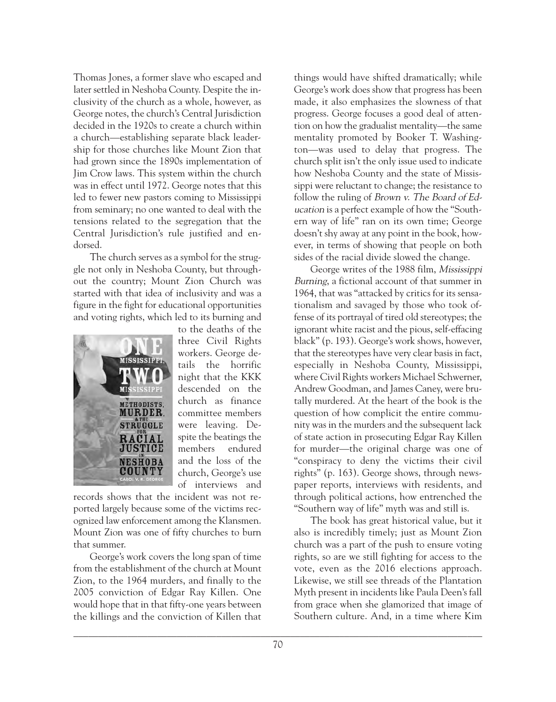Thomas Jones, a former slave who escaped and later settled in Neshoba County. Despite the inclusivity of the church as a whole, however, as George notes, the church's Central Jurisdiction decided in the 1920s to create a church within a church—establishing separate black leadership for those churches like Mount Zion that had grown since the 1890s implementation of Jim Crow laws. This system within the church was in effect until 1972. George notes that this led to fewer new pastors coming to Mississippi from seminary; no one wanted to deal with the tensions related to the segregation that the Central Jurisdiction's rule justified and endorsed.

The church serves as a symbol for the struggle not only in Neshoba County, but throughout the country; Mount Zion Church was started with that idea of inclusivity and was a figure in the fight for educational opportunities and voting rights, which led to its burning and



to the deaths of the three Civil Rights workers. George details the horrific night that the KKK descended on the church as finance committee members were leaving. Despite the beatings the members endured and the loss of the church, George's use of interviews and

records shows that the incident was not reported largely because some of the victims recognized law enforcement among the Klansmen. Mount Zion was one of fifty churches to burn that summer.

George's work covers the long span of time from the establishment of the church at Mount Zion, to the 1964 murders, and finally to the 2005 conviction of Edgar Ray Killen. One would hope that in that fifty-one years between the killings and the conviction of Killen that

things would have shifted dramatically; while George's work does show that progress has been made, it also emphasizes the slowness of that progress. George focuses a good deal of attention on how the gradualist mentality—the same mentality promoted by Booker T. Washington—was used to delay that progress. The church split isn't the only issue used to indicate how Neshoba County and the state of Mississippi were reluctant to change; the resistance to follow the ruling of Brown v. The Board of Education is a perfect example of how the "Southern way of life" ran on its own time; George doesn't shy away at any point in the book, however, in terms of showing that people on both sides of the racial divide slowed the change.

George writes of the 1988 film, Mississippi Burning, a fictional account of that summer in 1964, that was "attacked by critics for its sensationalism and savaged by those who took offense of its portrayal of tired old stereotypes; the ignorant white racist and the pious, self-effacing black" (p. 193). George's work shows, however, that the stereotypes have very clear basis in fact, especially in Neshoba County, Mississippi, where Civil Rights workers Michael Schwerner, Andrew Goodman, and James Caney, were brutally murdered. At the heart of the book is the question of how complicit the entire community was in the murders and the subsequent lack of state action in prosecuting Edgar Ray Killen for murder—the original charge was one of "conspiracy to deny the victims their civil rights" (p. 163). George shows, through newspaper reports, interviews with residents, and through political actions, how entrenched the "Southern way of life" myth was and still is.

The book has great historical value, but it also is incredibly timely; just as Mount Zion church was a part of the push to ensure voting rights, so are we still fighting for access to the vote, even as the 2016 elections approach. Likewise, we still see threads of the Plantation Myth present in incidents like Paula Deen's fall from grace when she glamorized that image of Southern culture. And, in a time where Kim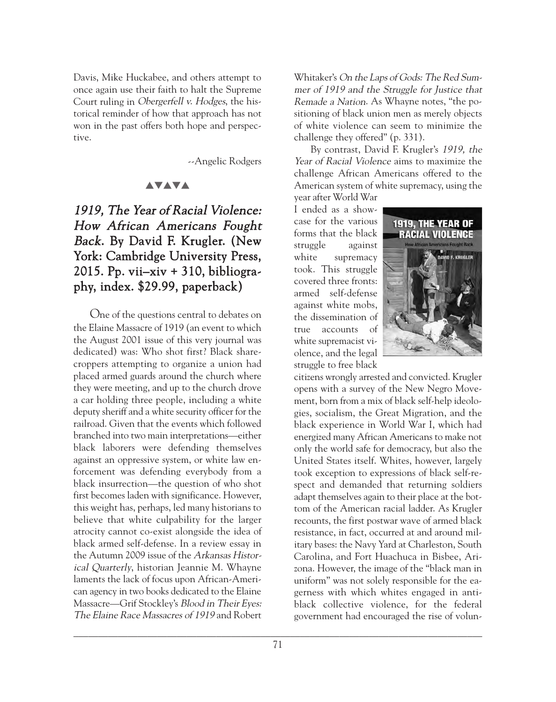Davis, Mike Huckabee, and others attempt to once again use their faith to halt the Supreme Court ruling in Obergerfell v. Hodges, the historical reminder of how that approach has not won in the past offers both hope and perspective.

--Angelic Rodgers

#### **AVAVA**

# 1919, The Year of Racial Violence: How African Americans Fought Back. By David F. Krugler. (New York: Cambridge University Press, 2015. Pp. vii $-$ xiv + 310, bibliography, index. \$29.99, paperback)

One of the questions central to debates on the Elaine Massacre of 1919 (an event to which the August 2001 issue of this very journal was dedicated) was: Who shot first? Black sharecroppers attempting to organize a union had placed armed guards around the church where they were meeting, and up to the church drove a car holding three people, including a white deputy sheriff and a white security officer for the railroad. Given that the events which followed branched into two main interpretations—either black laborers were defending themselves against an oppressive system, or white law enforcement was defending everybody from a black insurrection—the question of who shot first becomes laden with significance. However, this weight has, perhaps, led many historians to believe that white culpability for the larger atrocity cannot co-exist alongside the idea of black armed self-defense. In a review essay in the Autumn 2009 issue of the Arkansas Historical Quarterly, historian Jeannie M. Whayne laments the lack of focus upon African-American agency in two books dedicated to the Elaine Massacre—Grif Stockley's Blood in Their Eyes: The Elaine Race Massacres of 1919 and Robert Whitaker's On the Laps of Gods: The Red Summer of 1919 and the Struggle for Justice that Remade a Nation. As Whayne notes, "the positioning of black union men as merely objects of white violence can seem to minimize the challenge they offered" (p. 331).

By contrast, David F. Krugler's 1919, the Year of Racial Violence aims to maximize the challenge African Americans offered to the American system of white supremacy, using the year after World War

I ended as a showcase for the various forms that the black struggle against white supremacy took. This struggle covered three fronts: armed self-defense against white mobs, the dissemination of true accounts of white supremacist violence, and the legal struggle to free black



citizens wrongly arrested and convicted. Krugler opens with a survey of the New Negro Movement, born from a mix of black self-help ideologies, socialism, the Great Migration, and the black experience in World War I, which had energized many African Americans to make not only the world safe for democracy, but also the United States itself. Whites, however, largely took exception to expressions of black self-respect and demanded that returning soldiers adapt themselves again to their place at the bottom of the American racial ladder. As Krugler recounts, the first postwar wave of armed black resistance, in fact, occurred at and around military bases: the Navy Yard at Charleston, South Carolina, and Fort Huachuca in Bisbee, Arizona. However, the image of the "black man in uniform" was not solely responsible for the eagerness with which whites engaged in antiblack collective violence, for the federal government had encouraged the rise of volun-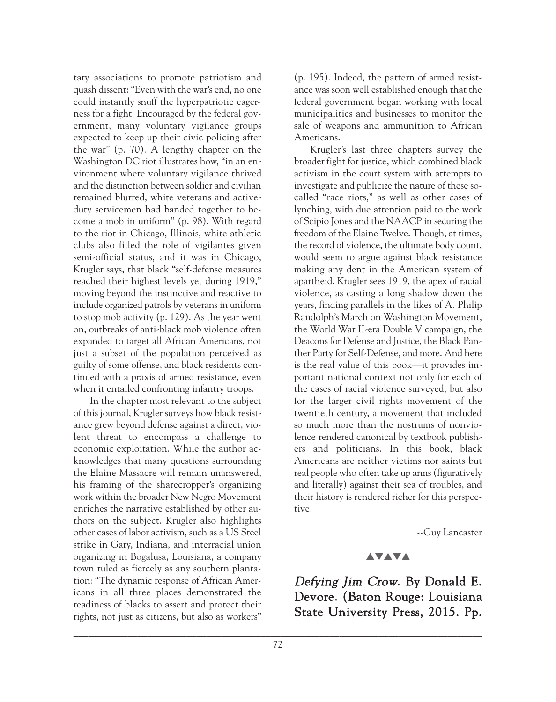tary associations to promote patriotism and quash dissent: "Even with the war's end, no one could instantly snuff the hyperpatriotic eagerness for a fight. Encouraged by the federal government, many voluntary vigilance groups expected to keep up their civic policing after the war" (p. 70). A lengthy chapter on the Washington DC riot illustrates how, "in an environment where voluntary vigilance thrived and the distinction between soldier and civilian remained blurred, white veterans and activeduty servicemen had banded together to become a mob in uniform" (p. 98). With regard to the riot in Chicago, Illinois, white athletic clubs also filled the role of vigilantes given semi-official status, and it was in Chicago, Krugler says, that black "self-defense measures reached their highest levels yet during 1919," moving beyond the instinctive and reactive to include organized patrols by veterans in uniform to stop mob activity (p. 129). As the year went on, outbreaks of anti-black mob violence often expanded to target all African Americans, not just a subset of the population perceived as guilty of some offense, and black residents continued with a praxis of armed resistance, even when it entailed confronting infantry troops.

In the chapter most relevant to the subject of this journal, Krugler surveys how black resistance grew beyond defense against a direct, violent threat to encompass a challenge to economic exploitation. While the author acknowledges that many questions surrounding the Elaine Massacre will remain unanswered, his framing of the sharecropper's organizing work within the broader New Negro Movement enriches the narrative established by other authors on the subject. Krugler also highlights other cases of labor activism, such as a US Steel strike in Gary, Indiana, and interracial union organizing in Bogalusa, Louisiana, a company town ruled as fiercely as any southern plantation: "The dynamic response of African Americans in all three places demonstrated the readiness of blacks to assert and protect their rights, not just as citizens, but also as workers"

(p. 195). Indeed, the pattern of armed resistance was soon well established enough that the federal government began working with local municipalities and businesses to monitor the sale of weapons and ammunition to African Americans.

Krugler's last three chapters survey the broader fight for justice, which combined black activism in the court system with attempts to investigate and publicize the nature of these socalled "race riots," as well as other cases of lynching, with due attention paid to the work of Scipio Jones and the NAACP in securing the freedom of the Elaine Twelve. Though, at times, the record of violence, the ultimate body count, would seem to argue against black resistance making any dent in the American system of apartheid, Krugler sees 1919, the apex of racial violence, as casting a long shadow down the years, finding parallels in the likes of A. Philip Randolph's March on Washington Movement, the World War II-era Double V campaign, the Deacons for Defense and Justice, the Black Panther Party for Self-Defense, and more. And here is the real value of this book—it provides important national context not only for each of the cases of racial violence surveyed, but also for the larger civil rights movement of the twentieth century, a movement that included so much more than the nostrums of nonviolence rendered canonical by textbook publishers and politicians. In this book, black Americans are neither victims nor saints but real people who often take up arms (figuratively and literally) against their sea of troubles, and their history is rendered richer for this perspective.

--Guy Lancaster

#### **AVAVA**

Defying Jim Crow. By Donald E. Devore. (Baton Rouge: Louisiana State University Press, 2015. Pp.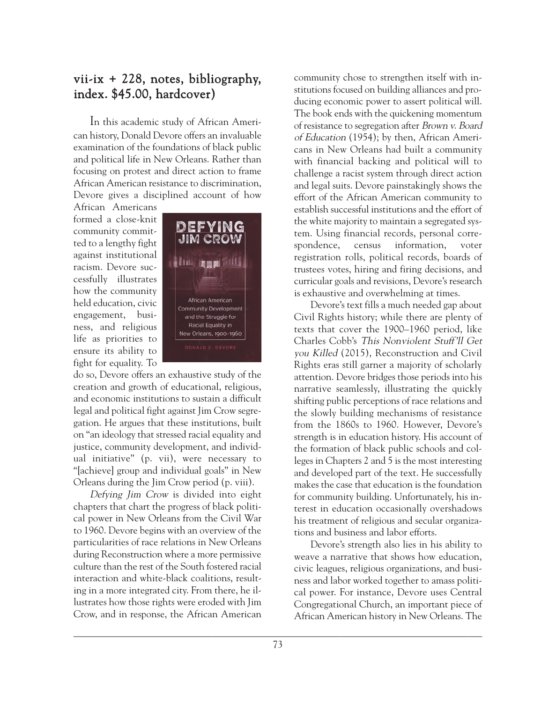## vii-ix + 228, notes, bibliography, index. \$45.00, hardcover)

In this academic study of African American history, Donald Devore offers an invaluable examination of the foundations of black public and political life in New Orleans. Rather than focusing on protest and direct action to frame African American resistance to discrimination, Devore gives a disciplined account of how

African Americans formed a close-knit community committed to a lengthy fight against institutional racism. Devore successfully illustrates how the community held education, civic engagement, business, and religious life as priorities to ensure its ability to fight for equality. To



do so, Devore offers an exhaustive study of the creation and growth of educational, religious, and economic institutions to sustain a difficult legal and political fight against Jim Crow segregation. He argues that these institutions, built on "an ideology that stressed racial equality and justice, community development, and individual initiative" (p. vii), were necessary to "[achieve] group and individual goals" in New Orleans during the Jim Crow period (p. viii).

Defying Jim Crow is divided into eight chapters that chart the progress of black political power in New Orleans from the Civil War to 1960. Devore begins with an overview of the particularities of race relations in New Orleans during Reconstruction where a more permissive culture than the rest of the South fostered racial interaction and white-black coalitions, resulting in a more integrated city. From there, he illustrates how those rights were eroded with Jim Crow, and in response, the African American

community chose to strengthen itself with institutions focused on building alliances and producing economic power to assert political will. The book ends with the quickening momentum of resistance to segregation after Brown v. Board of Education (1954); by then, African Americans in New Orleans had built a community with financial backing and political will to challenge a racist system through direct action and legal suits. Devore painstakingly shows the effort of the African American community to establish successful institutions and the effort of the white majority to maintain a segregated system. Using financial records, personal correspondence, census information, voter registration rolls, political records, boards of trustees votes, hiring and firing decisions, and curricular goals and revisions, Devore's research is exhaustive and overwhelming at times.

Devore's text fills a much needed gap about Civil Rights history; while there are plenty of texts that cover the 1900–1960 period, like Charles Cobb's This Nonviolent Stuff'll Get you Killed (2015), Reconstruction and Civil Rights eras still garner a majority of scholarly attention. Devore bridges those periods into his narrative seamlessly, illustrating the quickly shifting public perceptions of race relations and the slowly building mechanisms of resistance from the 1860s to 1960. However, Devore's strength is in education history. His account of the formation of black public schools and colleges in Chapters 2 and 5 is the most interesting and developed part of the text. He successfully makes the case that education is the foundation for community building. Unfortunately, his interest in education occasionally overshadows his treatment of religious and secular organizations and business and labor efforts.

Devore's strength also lies in his ability to weave a narrative that shows how education, civic leagues, religious organizations, and business and labor worked together to amass political power. For instance, Devore uses Central Congregational Church, an important piece of African American history in New Orleans. The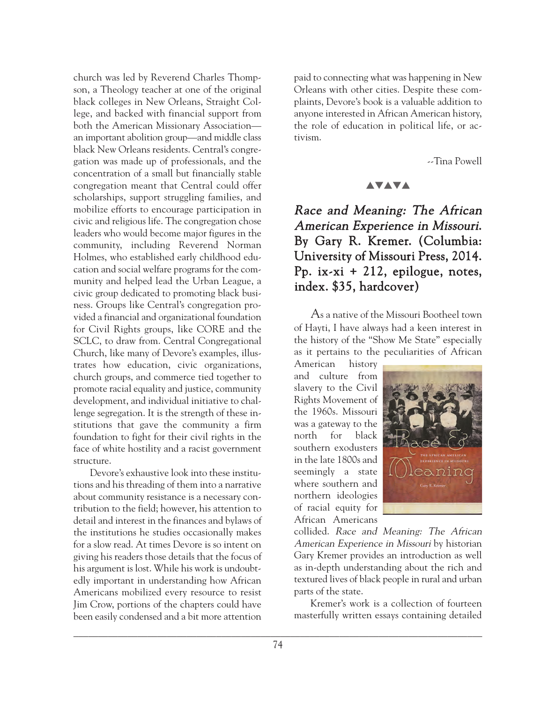church was led by Reverend Charles Thompson, a Theology teacher at one of the original black colleges in New Orleans, Straight College, and backed with financial support from both the American Missionary Association an important abolition group—and middle class black New Orleans residents. Central's congregation was made up of professionals, and the concentration of a small but financially stable congregation meant that Central could offer scholarships, support struggling families, and mobilize efforts to encourage participation in civic and religious life. The congregation chose leaders who would become major figures in the community, including Reverend Norman Holmes, who established early childhood education and social welfare programs for the community and helped lead the Urban League, a civic group dedicated to promoting black business. Groups like Central's congregation provided a financial and organizational foundation for Civil Rights groups, like CORE and the SCLC, to draw from. Central Congregational Church, like many of Devore's examples, illustrates how education, civic organizations, church groups, and commerce tied together to promote racial equality and justice, community development, and individual initiative to challenge segregation. It is the strength of these institutions that gave the community a firm foundation to fight for their civil rights in the face of white hostility and a racist government structure.

Devore's exhaustive look into these institutions and his threading of them into a narrative about community resistance is a necessary contribution to the field; however, his attention to detail and interest in the finances and bylaws of the institutions he studies occasionally makes for a slow read. At times Devore is so intent on giving his readers those details that the focus of his argument is lost. While his work is undoubtedly important in understanding how African Americans mobilized every resource to resist Jim Crow, portions of the chapters could have been easily condensed and a bit more attention

paid to connecting what was happening in New Orleans with other cities. Despite these complaints, Devore's book is a valuable addition to anyone interested in African American history, the role of education in political life, or activism.

--Tina Powell

#### **AVAVA**

# Race and Meaning: The African American Experience in Missouri. By Gary R. Kremer. (Columbia: University of Missouri Press, 2014. Pp. ix-xi + 212, epilogue, notes, index. \$35, hardcover)

As a native of the Missouri Bootheel town of Hayti, I have always had a keen interest in the history of the "Show Me State" especially as it pertains to the peculiarities of African

American history and culture from slavery to the Civil Rights Movement of the 1960s. Missouri was a gateway to the north for black southern exodusters in the late 1800s and seemingly a state where southern and northern ideologies of racial equity for African Americans



collided. Race and Meaning: The African American Experience in Missouri by historian Gary Kremer provides an introduction as well as in-depth understanding about the rich and textured lives of black people in rural and urban parts of the state.

Kremer's work is a collection of fourteen masterfully written essays containing detailed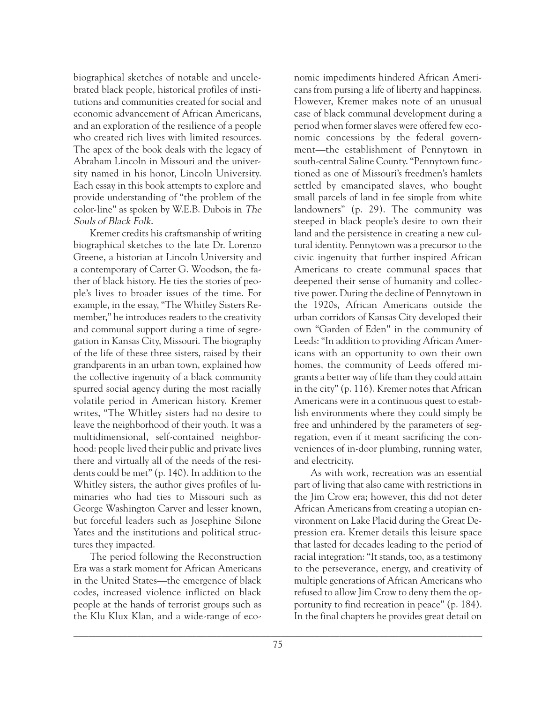biographical sketches of notable and uncelebrated black people, historical profiles of institutions and communities created for social and economic advancement of African Americans, and an exploration of the resilience of a people who created rich lives with limited resources. The apex of the book deals with the legacy of Abraham Lincoln in Missouri and the university named in his honor, Lincoln University. Each essay in this book attempts to explore and provide understanding of "the problem of the color-line" as spoken by W.E.B. Dubois in The Souls of Black Folk.

Kremer credits his craftsmanship of writing biographical sketches to the late Dr. Lorenzo Greene, a historian at Lincoln University and a contemporary of Carter G. Woodson, the father of black history. He ties the stories of people's lives to broader issues of the time. For example, in the essay, "The Whitley Sisters Remember," he introduces readers to the creativity and communal support during a time of segregation in Kansas City, Missouri. The biography of the life of these three sisters, raised by their grandparents in an urban town, explained how the collective ingenuity of a black community spurred social agency during the most racially volatile period in American history. Kremer writes, "The Whitley sisters had no desire to leave the neighborhood of their youth. It was a multidimensional, self-contained neighborhood: people lived their public and private lives there and virtually all of the needs of the residents could be met" (p. 140). In addition to the Whitley sisters, the author gives profiles of luminaries who had ties to Missouri such as George Washington Carver and lesser known, but forceful leaders such as Josephine Silone Yates and the institutions and political structures they impacted.

The period following the Reconstruction Era was a stark moment for African Americans in the United States—the emergence of black codes, increased violence inflicted on black people at the hands of terrorist groups such as the Klu Klux Klan, and a wide-range of eco-

nomic impediments hindered African Americans from pursing a life of liberty and happiness. However, Kremer makes note of an unusual case of black communal development during a period when former slaves were offered few economic concessions by the federal government—the establishment of Pennytown in south-central Saline County. "Pennytown functioned as one of Missouri's freedmen's hamlets settled by emancipated slaves, who bought small parcels of land in fee simple from white landowners" (p. 29). The community was steeped in black people's desire to own their land and the persistence in creating a new cultural identity. Pennytown was a precursor to the civic ingenuity that further inspired African Americans to create communal spaces that deepened their sense of humanity and collective power. During the decline of Pennytown in the 1920s, African Americans outside the urban corridors of Kansas City developed their own "Garden of Eden" in the community of Leeds: "In addition to providing African Americans with an opportunity to own their own homes, the community of Leeds offered migrants a better way of life than they could attain in the city" (p. 116). Kremer notes that African Americans were in a continuous quest to establish environments where they could simply be free and unhindered by the parameters of segregation, even if it meant sacrificing the conveniences of in-door plumbing, running water, and electricity.

As with work, recreation was an essential part of living that also came with restrictions in the Jim Crow era; however, this did not deter African Americans from creating a utopian environment on Lake Placid during the Great Depression era. Kremer details this leisure space that lasted for decades leading to the period of racial integration: "It stands, too, as a testimony to the perseverance, energy, and creativity of multiple generations of African Americans who refused to allow Jim Crow to deny them the opportunity to find recreation in peace" (p. 184). In the final chapters he provides great detail on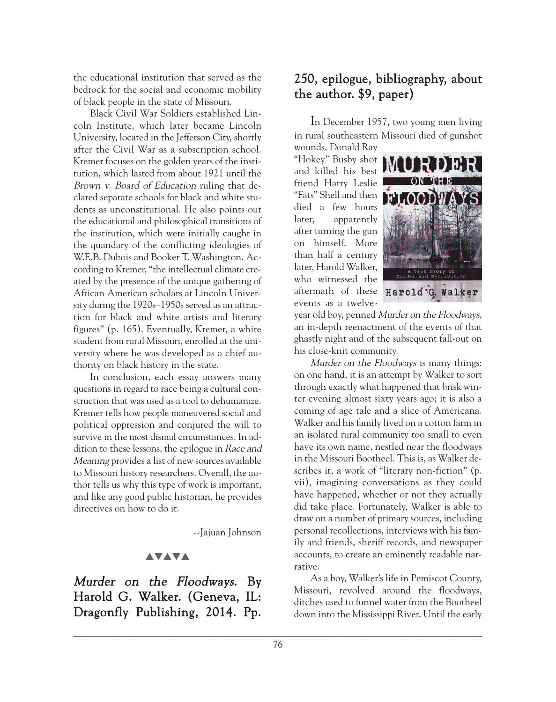the educational institution that served as the bedrock for the social and economic mobility of black people in the state of Missouri.

Black Civil War Soldiers established Lincoln Institute, which later became Lincoln University, located in the Jefferson City, shortly after the Civil War as a subscription school. Kremer focuses on the golden years of the institution, which lasted from about 1921 until the Brown v. Board of Education ruling that declared separate schools for black and white students as unconstitutional. He also points out the educational and philosophical transitions of the institution, which were initially caught in the quandary of the conflicting ideologies of W.E.B. Dubois and Booker T. Washington. According to Kremer, "the intellectual climate created by the presence of the unique gathering of African American scholars at Lincoln University during the 1920s–1950s served as an attraction for black and white artists and literary figures" (p. 165). Eventually, Kremer, a white student from rural Missouri, enrolled at the university where he was developed as a chief authority on black history in the state.

In conclusion, each essay answers many questions in regard to race being a cultural construction that was used as a tool to dehumanize. Kremer tells how people maneuvered social and political oppression and conjured the will to survive in the most dismal circumstances. In addition to these lessons, the epilogue in Race and Meaning provides a list of new sources available to Missouri history researchers. Overall, the author tells us why this type of work is important, and like any good public historian, he provides directives on how to do it.

--Jajuan Johnson

### **AVAVA**

Murder on the Floodways. By Harold G. Walker. (Geneva, IL: Dragonfly Publishing, 2014. Pp.

# 250, epilogue, bibliography, about the author. \$9, paper)

In December 1957, two young men living in rural southeastern Missouri died of gunshot

wounds. Donald Ray "Hokey" Busby shot and killed his best friend Harry Leslie "Fats" Shell and then died a few hours later, apparently after turning the gun on himself. More than half a century later, Harold Walker, who witnessed the aftermath of these events as a twelve-



year old boy, penned Murder on the Floodways, an in-depth reenactment of the events of that ghastly night and of the subsequent fall-out on his close-knit community.

Murder on the Floodways is many things: on one hand, it is an attempt by Walker to sort through exactly what happened that brisk winter evening almost sixty years ago; it is also a coming of age tale and a slice of Americana. Walker and his family lived on a cotton farm in an isolated rural community too small to even have its own name, nestled near the floodways in the Missouri Bootheel. This is, as Walker describes it, a work of "literary non-fiction" (p. vii), imagining conversations as they could have happened, whether or not they actually did take place. Fortunately, Walker is able to draw on a number of primary sources, including personal recollections, interviews with his family and friends, sheriff records, and newspaper accounts, to create an eminently readable narrative.

As a boy, Walker's life in Pemiscot County, Missouri, revolved around the floodways, ditches used to funnel water from the Bootheel down into the Mississippi River. Until the early